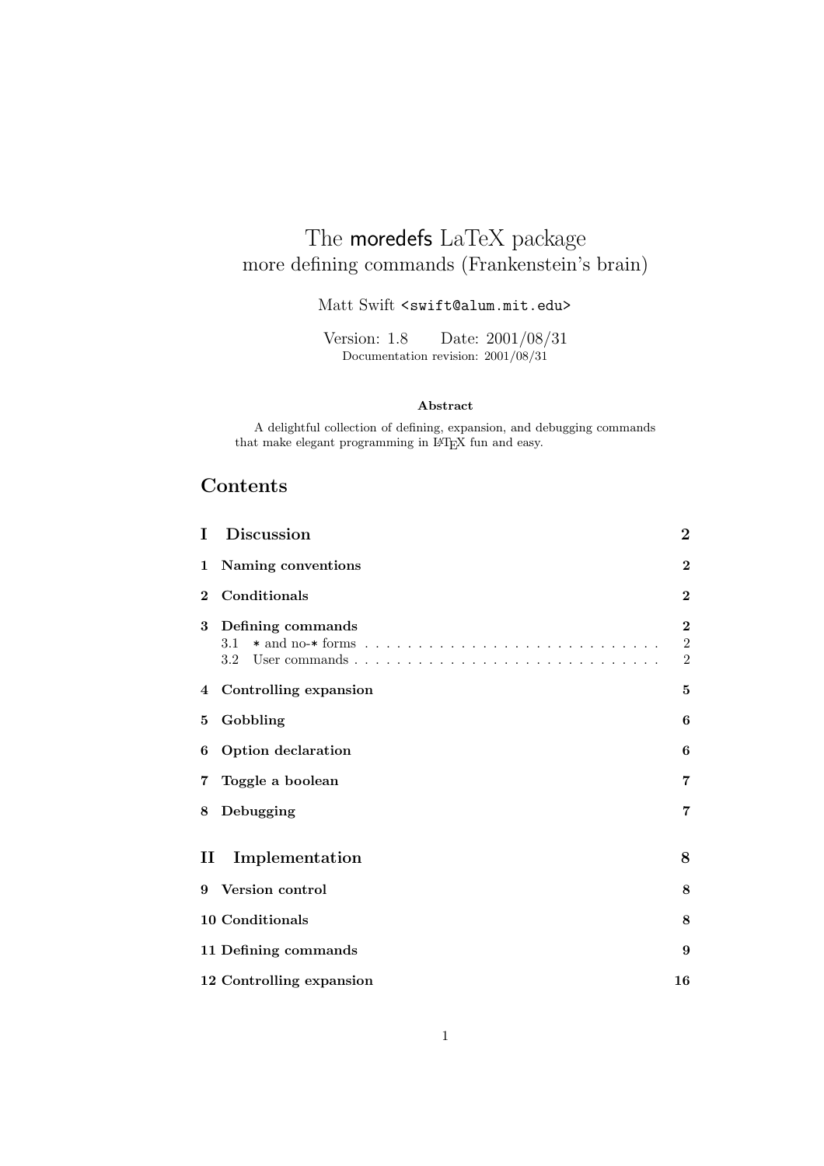# The moredefs LaTeX package more defining commands (Frankenstein's brain)

Matt Swift <swift@alum.mit.edu>

Version: 1.8 Date: 2001/08/31 Documentation revision: 2001/08/31

#### **Abstract**

A delightful collection of defining, expansion, and debugging commands that make elegant programming in LATEX fun and easy.

# **Contents**

| Ι        | <b>Discussion</b>               | $\overline{2}$                           |
|----------|---------------------------------|------------------------------------------|
| 1        | Naming conventions              | $\boldsymbol{2}$                         |
| $\bf{2}$ | Conditionals                    | $\mathbf{2}$                             |
| 3        | Defining commands<br>3.1<br>3.2 | $\bf{2}$<br>$\sqrt{2}$<br>$\overline{2}$ |
| 4        | Controlling expansion           | 5                                        |
| 5        | Gobbling                        | 6                                        |
| 6        | Option declaration              | 6                                        |
| 7        | Toggle a boolean                | $\overline{7}$                           |
| 8        | Debugging                       | 7                                        |
| П        | Implementation                  | 8                                        |
| 9        | <b>Version control</b>          | 8                                        |
|          | 10 Conditionals                 | 8                                        |
|          | 11 Defining commands            | 9                                        |
|          | 12 Controlling expansion        | 16                                       |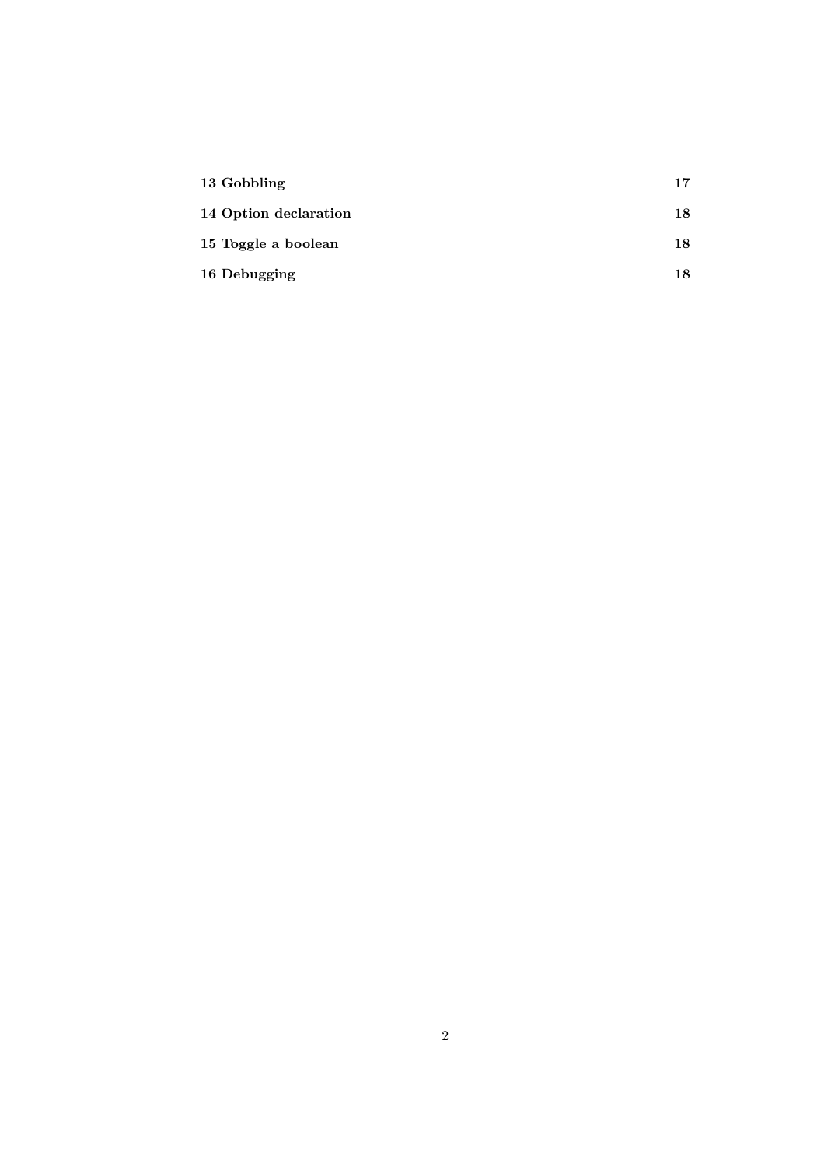| 13 Gobbling           | 17 |
|-----------------------|----|
| 14 Option declaration | 18 |
| 15 Toggle a boolean   | 18 |
| 16 Debugging          | 18 |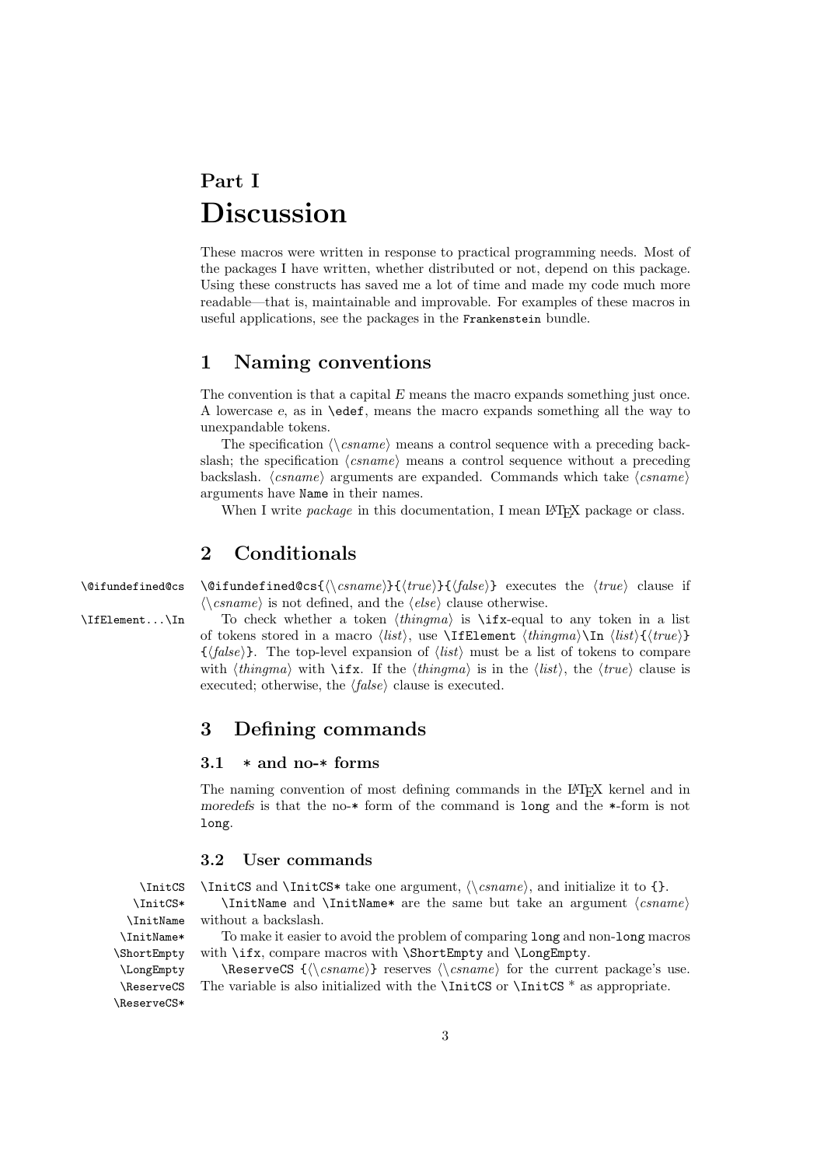# **Part I Discussion**

These macros were written in response to practical programming needs. Most of the packages I have written, whether distributed or not, depend on this package. Using these constructs has saved me a lot of time and made my code much more readable—that is, maintainable and improvable. For examples of these macros in useful applications, see the packages in the Frankenstein bundle.

#### **1 Naming conventions**

The convention is that a capital *E* means the macro expands something just once. A lowercase *e*, as in \edef, means the macro expands something all the way to unexpandable tokens.

The specification  $\langle \rangle$ *csname* $\rangle$  means a control sequence with a preceding backslash; the specification  $\langle \text{c} \text{same} \rangle$  means a control sequence without a preceding backslash.  $\langle \text{csname} \rangle$  arguments are expanded. Commands which take  $\langle \text{csname} \rangle$ arguments have Name in their names.

When I write *package* in this documentation, I mean IAT<sub>EX</sub> package or class.

#### **2 Conditionals**

\@ifundefined@cs \@ifundefined@cs{\\csname}}{\true}}{\false}} executes the \true\ clause if  $\langle \langle \text{csname} \rangle$  is not defined, and the  $\langle \text{else} \rangle$  clause otherwise.

 $\Ipsilon$ ... $\In$  To check whether a token  $\langle thingma \rangle$  is  $\Ipsilon$  -equal to any token in a list of tokens stored in a macro  $\langle list \rangle$ , use **\IfElement**  $\langle thingma \rangle$ **\In**  $\langle list \rangle$ { $\langle true \rangle$ }  $\{\langle false \rangle\}$ . The top-level expansion of  $\langle list \rangle$  must be a list of tokens to compare with  $\langle \text{thingma} \rangle$  with  $\langle \text{iff } \rangle$ . If the  $\langle \text{thingma} \rangle$  is in the  $\langle \text{list} \rangle$ , the  $\langle \text{true} \rangle$  clause is executed; otherwise, the  $\langle false \rangle$  clause is executed.

#### **3 Defining commands**

#### **3.1** \* **and no-**\* **forms**

The naming convention of most defining commands in the LAT<sub>E</sub>X kernel and in *moredefs* is that the no-\* form of the command is long and the \*-form is not long.

#### **3.2 User commands**

 $\InitCS and \InitCS* take one argument, \langle\Gamma\rangle, and initialize it to  $\{\}$ .$ 

\InitCS\* \InitName and \InitName\* are the same but take an argument  $\langle \text{c} \rangle$ without a backslash.

> To make it easier to avoid the problem of comparing long and non-long macros with \ifx, compare macros with \ShortEmpty and \LongEmpty.

> $\text{CS } {\langle \cos \theta \rangle}$  reserves  $\langle \cos \theta \rangle$  for the current package's use. The variable is also initialized with the  $\InitCS$  or  $\InitCS$  \* as appropriate.

\InitName \InitName\* \ShortEmpty \LongEmpty \ReserveCS \ReserveCS\*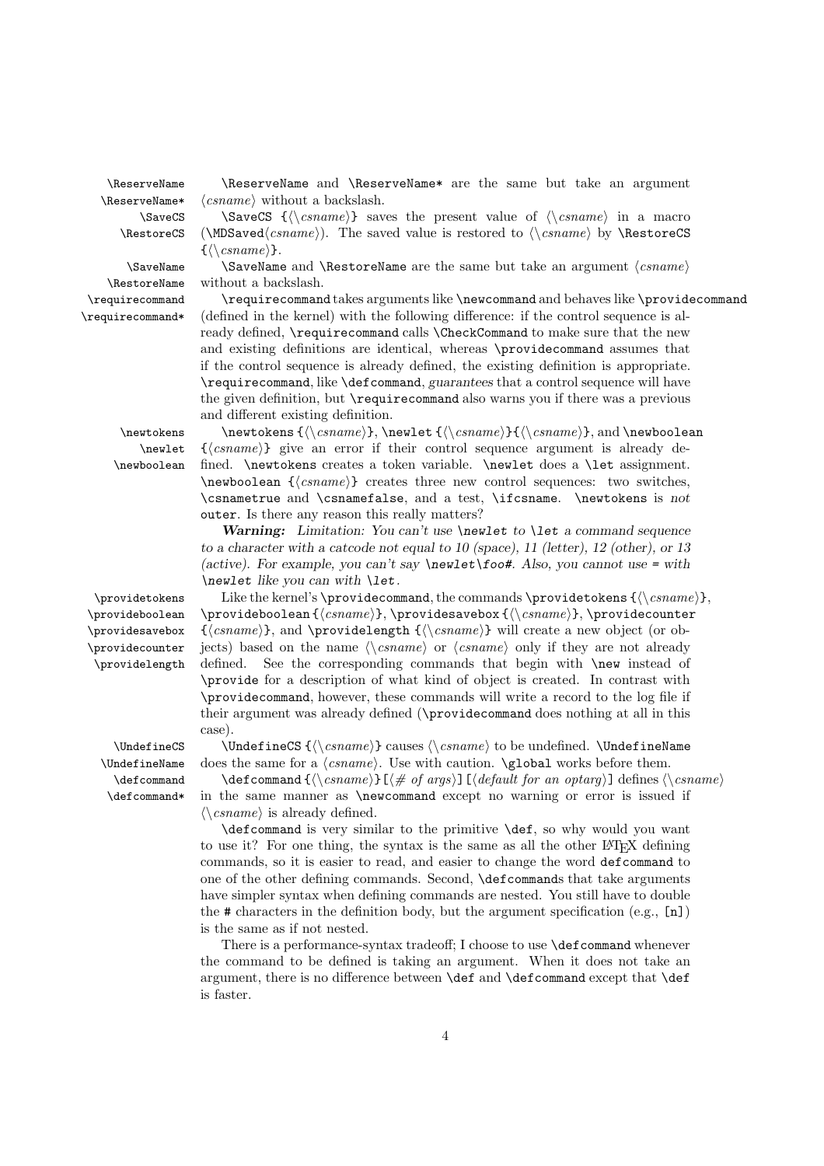\ReserveName\*<br>SaveCS\

\newlet. \newboolean

\provideboolean \providesavebox \providecounter \providelength

\ReserveName \ReserveName and \ReserveName\* are the same but take an argument *csname* without a backslash.

\SaveCS \SaveCS { $\langle \sigma \rangle$ } saves the present value of  $\langle \sigma \rangle$  in a macro \RestoreCS (\MDSaved $\langle csname \rangle$ ). The saved value is restored to  $\langle csname \rangle$  by \RestoreCS  $\{\langle\langle \text{csname}\rangle\}.$ 

\SaveName  $\S$ SaveName and \RestoreName are the same but take an argument  $\langle \text{csname} \rangle$ \RestoreName without a backslash.

\requirecommand \requirecommand takes arguments like \newcommand and behaves like \providecommand \requirecommand\* (defined in the kernel) with the following difference: if the control sequence is already defined, **\requirecommand** calls **\CheckCommand** to make sure that the new and existing definitions are identical, whereas \providecommand assumes that if the control sequence is already defined, the existing definition is appropriate. \requirecommand, like \defcommand, *guarantees* that a control sequence will have the given definition, but \requirecommand also warns you if there was a previous and different existing definition.

\newtokens  $\{\langle \csname \rangle\}, \langle \csname \rangle\}, \langle \csname \rangle\},$  and \newboolean {\lamame}} give an error if their control sequence argument is already defined. \newtokens creates a token variable. \newlet does a \let assignment.  $\langle$ **csname** $\rangle$  creates three new control sequences: two switches, \csnametrue and \csnamefalse, and a test, \ifcsname. \newtokens is *not* outer. Is there any reason this really matters?

> *Warning: Limitation: You can't use \newlet to \let a command sequence to a character with a catcode not equal to 10 (space), 11 (letter), 12 (other), or 13 (active). For example, you can't say \newlet\foo#. Also, you cannot use = with \newlet like you can with \let.*

 $\propto$  Like the kernel's  $\propto$ , the commands  $\propto$  { $\ccos$  { $\ccos$ <sub>csname</sub>},  $\propto {\langle csname \rangle}, \ \propto {\langle csname \rangle}, \ \propto {\langle csname \rangle}, \ \propto {\langle csname \rangle}$  $\{\langle \text{c} \rangle\}$ , and  $\text{c} \left( \langle \text{c} \rangle \}$  will create a new object (or objects) based on the name  $\langle \cos name \rangle$  or  $\langle \cos name \rangle$  only if they are not already defined. See the corresponding commands that begin with **\new** instead of \provide for a description of what kind of object is created. In contrast with \providecommand, however, these commands will write a record to the log file if their argument was already defined (\providecommand does nothing at all in this case).

 $\Upsilon$   $\UnderinecS$   $(\cos\theta)$  causes  $\cos\theta$  to be undefined.  $\Underinex$  $\Upsilon$ . UndefineName does the same for a  $\langle \text{csname} \rangle$ . Use with caution.  $\gtrsim$  **compared works** before them.

\defcommand \defcommand { $\langle \cos name \rangle$ } [ $\langle \pm \cos n\rangle$ ]  $\langle \pm \cos n\rangle$  defines  $\langle \cos n\rangle$ \defcommand\* in the same manner as \newcommand except no warning or error is issued if  $\langle \langle \rangle \langle \text{c} \rangle$  is already defined.

\defcommand is very similar to the primitive \def, so why would you want to use it? For one thing, the syntax is the same as all the other LAT<sub>EX</sub> defining commands, so it is easier to read, and easier to change the word defcommand to one of the other defining commands. Second, \defcommands that take arguments have simpler syntax when defining commands are nested. You still have to double the # characters in the definition body, but the argument specification (e.g., [n]) is the same as if not nested.

There is a performance-syntax tradeoff; I choose to use **\defcommand** whenever the command to be defined is taking an argument. When it does not take an argument, there is no difference between \def and \defcommand except that \def is faster.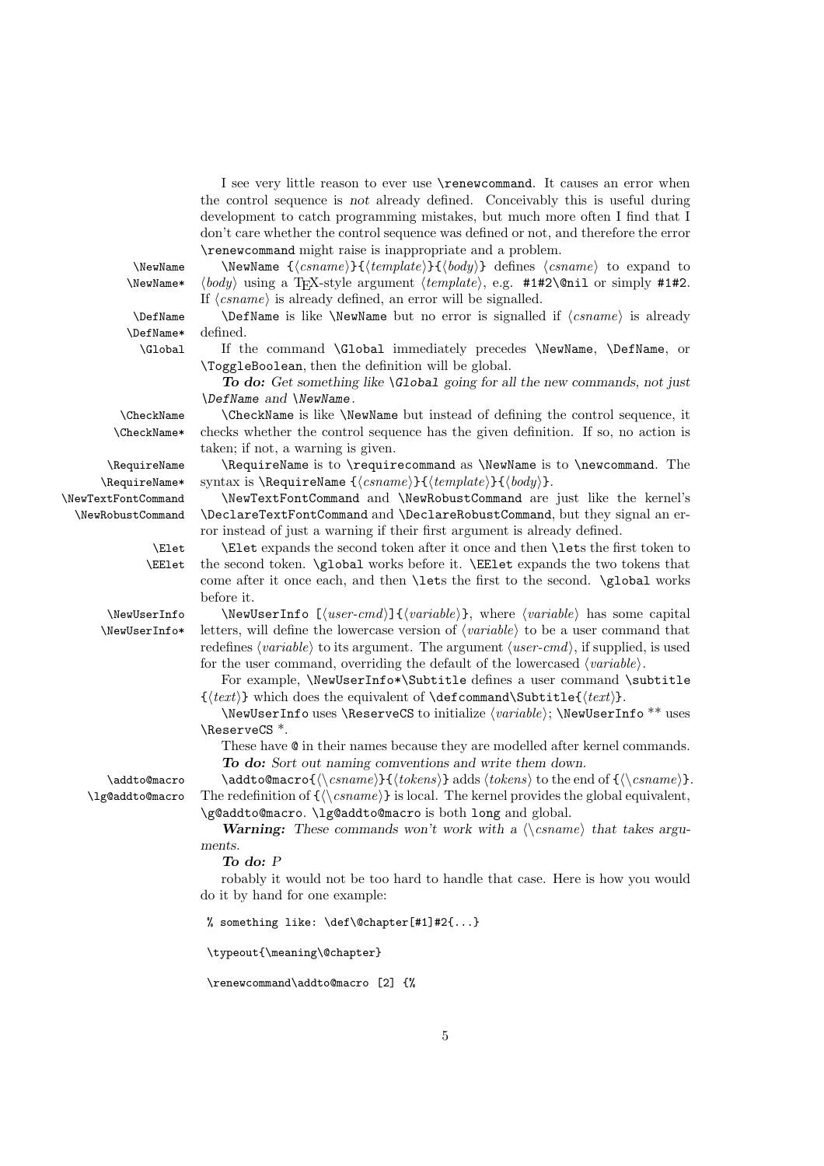I see very little reason to ever use \renewcommand. It causes an error when the control sequence is *not* already defined. Conceivably this is useful during development to catch programming mistakes, but much more often I find that I don't care whether the control sequence was defined or not, and therefore the error \renewcommand might raise is inappropriate and a problem.

\NewName\* -

\DefName\* defined.

 $\text{NewName } {\text{csname}} {\mathcal{H}} {\text{template}} {\text{body}} \text{ defines } {\text{csname}} \text{ to expand to }$  $body\rangle$  using a T<sub>E</sub>X-style argument  $\langle template \rangle$ , e.g.  $\#1\#2\$ Qnil or simply  $\#1\#2$ . If  $\langle \text{csname} \rangle$  is already defined, an error will be signalled.

\DefName \DefName is like \NewName but no error is signalled if  $\langle csname \rangle$  is already

\Global If the command \Global immediately precedes \NewName, \DefName, or \ToggleBoolean, then the definition will be global.

> *To do: Get something like \Global going for all the new commands, not just \DefName and \NewName.*

\CheckName \CheckName is like \NewName but instead of defining the control sequence, it \CheckName\* checks whether the control sequence has the given definition. If so, no action is taken; if not, a warning is given.

\RequireName \RequireName is to \requirecommand as \NewName is to \newcommand. The  $\Re$ equireName\* syntax is  $\Re$ equireName  $\{\langle \mathit{csname} \rangle\}$   $\{\langle \mathit{template} \rangle\}$   $\{\langle \mathit{body} \rangle\}$ .

\NewTextFontCommand \NewTextFontCommand and \NewRobustCommand are just like the kernel's \NewRobustCommand \DeclareTextFontCommand and \DeclareRobustCommand, but they signal an error instead of just a warning if their first argument is already defined.

> \Elet \Elet expands the second token after it once and then \lets the first token to \EElet the second token. \global works before it. \EElet expands the two tokens that come after it once each, and then \lets the first to the second. \global works before it.

\NewUserInfo \NewUserInfo  $[\langle user-cmd\rangle]\{\langle variable\rangle\}$ , where  $\langle variable\rangle$  has some capital  $\text{NewUserInfo*}$  letters, will define the lowercase version of  $\langle variable \rangle$  to be a user command that redefines  $\langle variable \rangle$  to its argument. The argument  $\langle user-cmd \rangle$ , if supplied, is used for the user command, overriding the default of the lowercased  $\langle variable \rangle$ .

For example, \NewUserInfo\*\Subtitle defines a user command \subtitle  $\{\langle text \rangle\}$  which does the equivalent of  $\defcommand{\scriptsize\verb|J|}{\text{command}}\$ 

 $\NewUserInfo$  uses  $\Rees$ rveCS to initialize  $\varphi$ ;  $\NewUserInfo$  uses \ReserveCS \*.

These have @ in their names because they are modelled after kernel commands. *To do: Sort out naming comventions and write them down.*

\addto@macro \addto@macro{ $\langle \cos \rangle$ } adds  $\langle \cos \cos \theta \rangle$  to the end of { $\langle \cos \theta \cos \theta \rangle$ }.  $\lambda$ lg@addto@macro The redefinition of  $\{\langle \rangle \, \text{csname} \rangle\}$  is local. The kernel provides the global equivalent, \g@addto@macro. \lg@addto@macro is both long and global.

> **Warning:** These commands won't work with a  $\langle \cos n \rangle$  that takes argu*ments.*

*To do: P*

robably it would not be too hard to handle that case. Here is how you would do it by hand for one example:

% something like: \def\@chapter[#1]#2{...}

\typeout{\meaning\@chapter}

\renewcommand\addto@macro [2] {%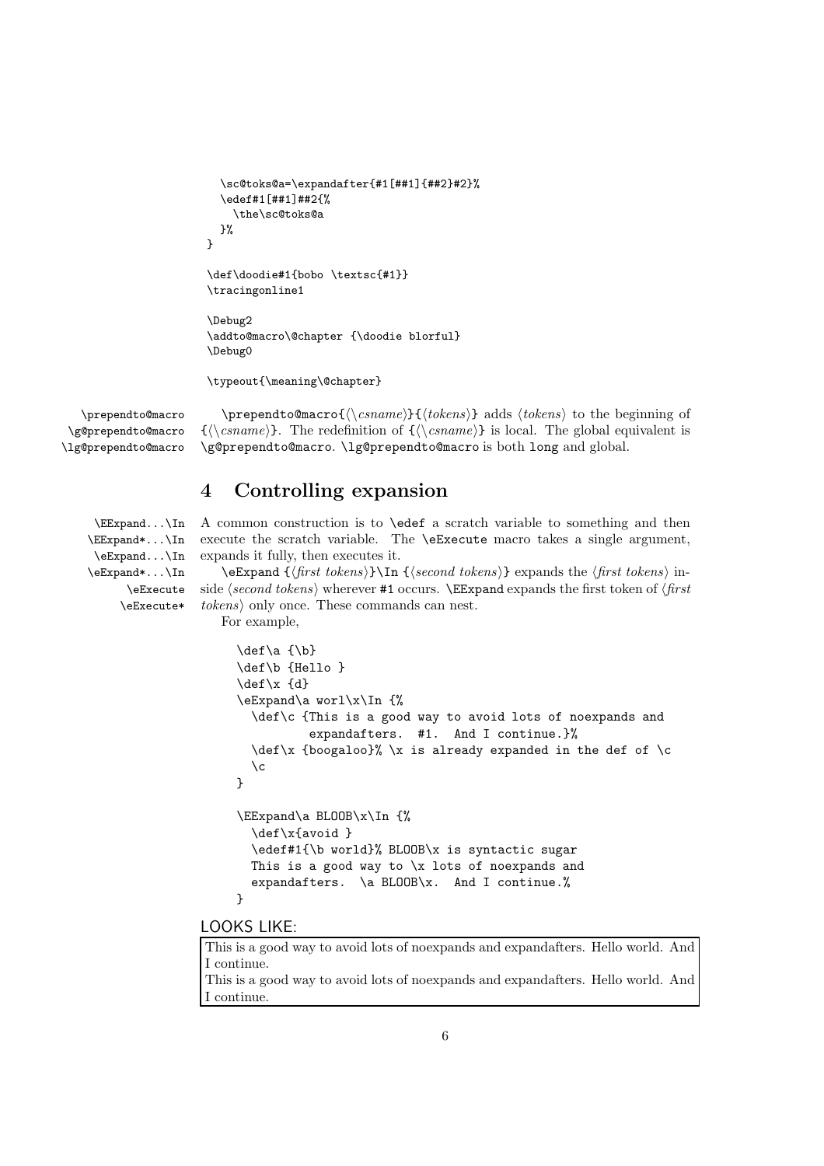```
\sc@toks@a=\expandafter{#1[##1]{##2}#2}%
  \edef#1[##1]##2{%
    \the\sc@toks@a
  }%
}
\def\doodie#1{bobo \textsc{#1}}
\tracingonline1
```

```
\Debug2
\addto@macro\@chapter {\doodie blorful}
\Debug0
```
\typeout{\meaning\@chapter}

\g@prependto@macro \lg@prependto@macro

\prependto@macro \prependto@macro ${\langle \cos n \rangle}$ } adds  ${\langle \cos n \rangle}$  to the beginning of  $\{\langle \cos name \rangle\}.$  The redefinition of  $\{\langle \cos name \rangle\}$  is local. The global equivalent is \g@prependto@macro. \lg@prependto@macro is both long and global.

## **4 Controlling expansion**

\EExpand\*...\In \eExpand...\In \eExpand\*...\In \eExecute \eExecute\*

\EExpand...\In A common construction is to \edef a scratch variable to something and then execute the scratch variable. The \eExecute macro takes a single argument, expands it fully, then executes it.

> $\text{Espand } {\frac{first \ tokens}{\ln} {\text{second tokens}}}$  expands the  $\frac{first \ tokens}{\ln}$ side  $\langle second \ tokens \rangle$  wherever **#1** occurs.  $\text{Eexpand}$  expands the first token of  $\langle first \rangle$ *tokens*) only once. These commands can nest. For example,

```
\def\a {\b}
\def\b {Hello }
\def\x {d}
\eExpand\a worl\x\In {%
  \def\c {This is a good way to avoid lots of noexpands and
          expandafters. #1. And I continue.}%
  \def\x {boogaloo}% \x is already expanded in the def of \c
  \setminus c}
\EExpand\a BLOOB\x\In {%
  \def\x{avoid }
  \edef#1{\b world}% BLOOB\x is syntactic sugar
  This is a good way to x lots of noexpands and
  expandafters. \a BLOOB\x. And I continue.%
}
```
#### LOOKS LIKE:

This is a good way to avoid lots of noexpands and expandafters. Hello world. And I continue. This is a good way to avoid lots of noexpands and expandafters. Hello world. And I continue.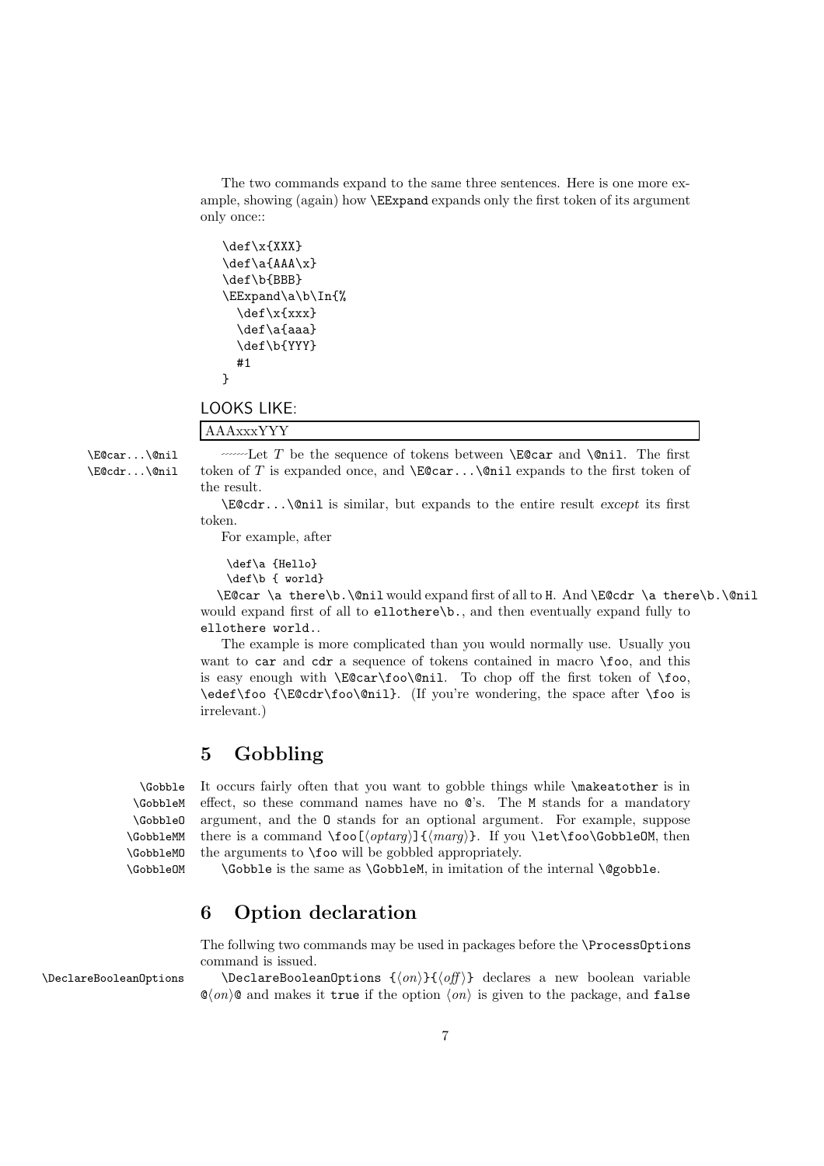The two commands expand to the same three sentences. Here is one more example, showing (again) how \EExpand expands only the first token of its argument only once::

```
\def\x{XXX}
\def\a{AAA\x}
\def\b{BBB}
\EExpand\a\b\In{%
 \def\x{xxx}
 \def\a{aaa}
 \def\b{YYY}
 #1
}
```
LOOKS LIKE: AAAxxxYYY

 $\text{Secar...}\$ enil  $\text{Let } T$  be the sequence of tokens between  $\text{EGcar and }\quad$ nil. The first \E@cdr...\@nil token of *T* is expanded once, and \E@car...\@nil expands to the first token of the result.

> \E@cdr...\@nil is similar, but expands to the entire result *except* its first token.

For example, after

\def\a {Hello} \def\b { world}

\E@car \a there\b.\@nil would expand first of all to H. And \E@cdr \a there\b.\@nil would expand first of all to ellothere\b., and then eventually expand fully to ellothere world..

The example is more complicated than you would normally use. Usually you want to car and cdr a sequence of tokens contained in macro \foo, and this is easy enough with \E@car\foo\@nil. To chop off the first token of \foo, \edef\foo {\E@cdr\foo\@nil}. (If you're wondering, the space after \foo is irrelevant.)

# **5 Gobbling**

\GobbleM \GobbleO \GobbleMM \GobbleMO \GobbleOM

\Gobble It occurs fairly often that you want to gobble things while \makeatother is in effect, so these command names have no @'s. The M stands for a mandatory argument, and the O stands for an optional argument. For example, suppose there is a command  $\to$   $\{optarg\}$   $\{$   $\mapsto$   $\}$ . If you  $\let\$ *foo*\GobbleOM, then the arguments to \foo will be gobbled appropriately.

\Gobble is the same as \GobbleM, in imitation of the internal \@gobble.

## **6 Option declaration**

The follwing two commands may be used in packages before the \ProcessOptions command is issued.

 $\Delta$   $\Delta$   $\Delta$   $\Delta$   $\{on\}$   $\{on\}$  declares a new boolean variable  $\mathbb{O}(on)$  and makes it true if the option  $\langle on \rangle$  is given to the package, and false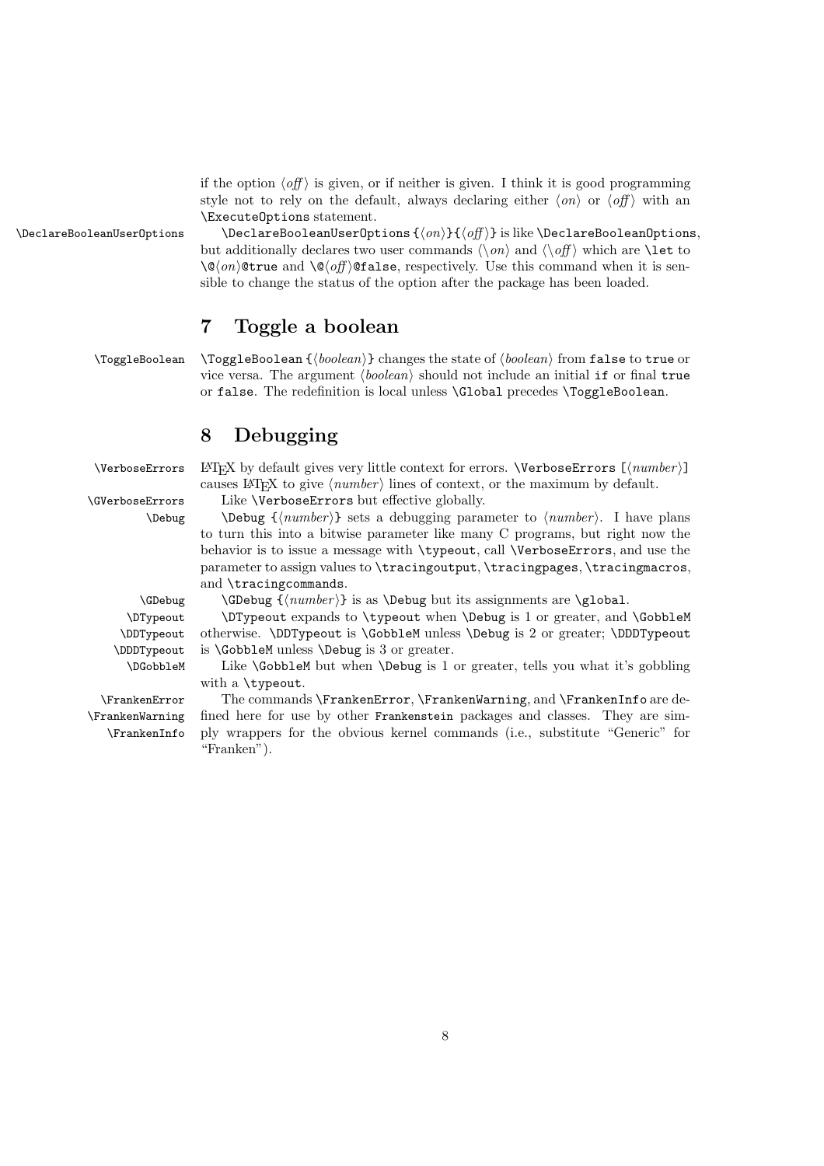if the option  $\langle \text{off} \rangle$  is given, or if neither is given. I think it is good programming style not to rely on the default, always declaring either  $\langle \text{on} \rangle$  or  $\langle \text{off} \rangle$  with an \ExecuteOptions statement.

\DeclareBooleanUserOptions \DeclareBooleanUserOptions { $\langle on \rangle$  } { $\langle off \rangle$ } is like \DeclareBooleanOptions, but additionally declares two user commands  $\langle \n\rangle$  and  $\langle \n\rangle$  which are  $\lambda$  to  $\log\langle on \rangle$  **otrue** and  $\log\langle off \rangle$  **of alse**, respectively. Use this command when it is sensible to change the status of the option after the package has been loaded.

# **7 Toggle a boolean**

\ToggleBoolean \ToggleBoolean {\boolean\}} changes the state of  $\langle boolean \rangle$  from false to true or vice versa. The argument  $\langle boolean \rangle$  should not include an initial if or final true or false. The redefinition is local unless \Global precedes \ToggleBoolean.

## **8 Debugging**

\VerboseErrors LAT<sub>E</sub>X by default gives very little context for errors. \VerboseErrors [ $\langle number \rangle$ ] causes LAT<sub>E</sub>X to give  $\langle number \rangle$  lines of context, or the maximum by default.

\GVerboseErrors Like \VerboseErrors but effective globally.

\Debug \Debug { $\langle number \rangle$ } sets a debugging parameter to  $\langle number \rangle$ . I have plans to turn this into a bitwise parameter like many C programs, but right now the behavior is to issue a message with \typeout, call \VerboseErrors, and use the parameter to assign values to \tracingoutput, \tracingpages, \tracingmacros, and \tracingcommands.

\GDebug  $\{\langle number \rangle\}$  is as \Debug but its assignments are \global.

\DTypeout \DTypeout expands to \typeout when \Debug is 1 or greater, and \GobbleM otherwise. \DDTypeout is \GobbleM unless \Debug is 2 or greater; \DDDTypeout is \GobbleM unless \Debug is 3 or greater.

\DGobbleM Like \GobbleM but when \Debug is 1 or greater, tells you what it's gobbling with a \typeout.

\FrankenError The commands \FrankenError, \FrankenWarning, and \FrankenInfo are de fined here for use by other Frankenstein packages and classes. They are simply wrappers for the obvious kernel commands (i.e., substitute "Generic" for "Franken").

\DDTypeout \DDDTypeout

\FrankenWarning \FrankenInfo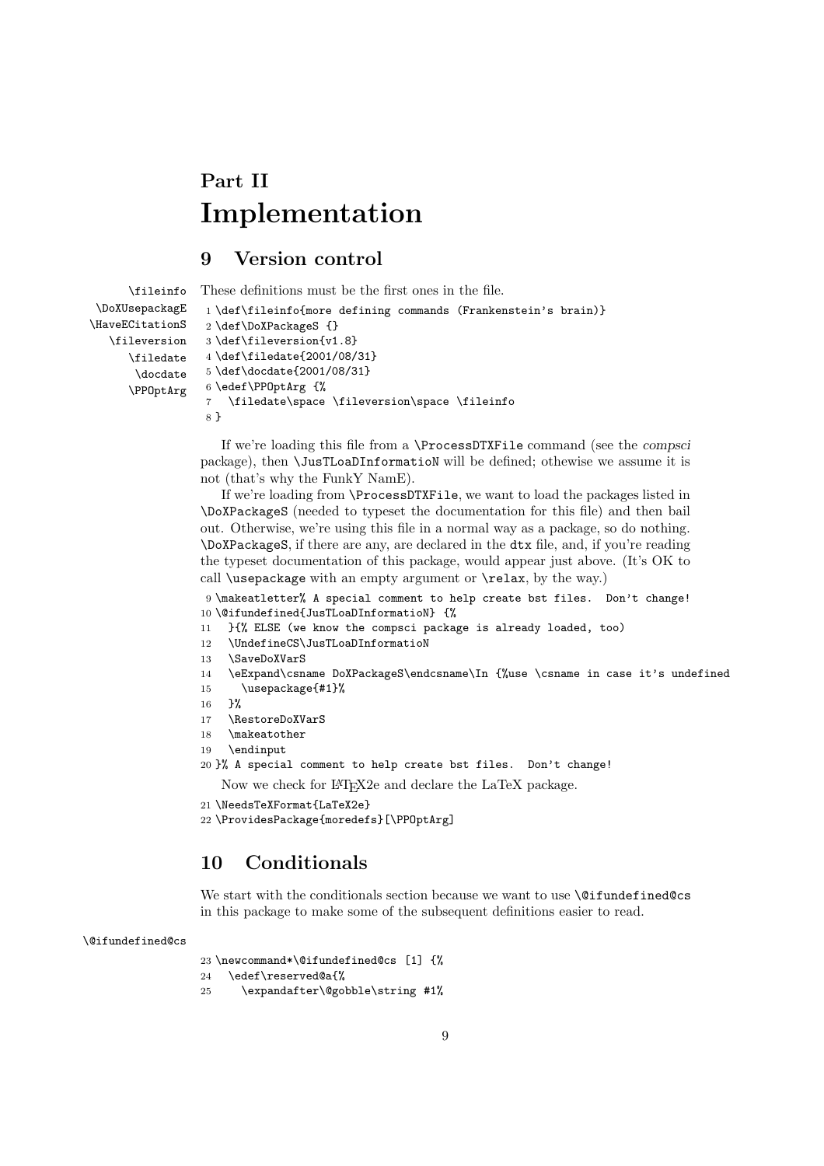# **Part II Implementation**

## **9 Version control**

```
\fileinfo
 \DoXUsepackagE
\HaveECitationS
   \fileversion
      \filedate
       \docdate
      \PPOptArg
                 These definitions must be the first ones in the file.
                  1 \def\fileinfo{more defining commands (Frankenstein's brain)}
                  2 \def\DoXPackageS {}
                  3 \def\fileversion{v1.8}
                  4 \def\filedate{2001/08/31}
                  5 \def\docdate{2001/08/31}
                  6 \edef\PPOptArg {%
                  7 \filedate\space \fileversion\space \fileinfo
                  8 }
```
If we're loading this file from a \ProcessDTXFile command (see the *compsci* package), then \JusTLoaDInformatioN will be defined; othewise we assume it is not (that's why the FunkY NamE).

If we're loading from \ProcessDTXFile, we want to load the packages listed in \DoXPackageS (needed to typeset the documentation for this file) and then bail out. Otherwise, we're using this file in a normal way as a package, so do nothing. \DoXPackageS, if there are any, are declared in the dtx file, and, if you're reading the typeset documentation of this package, would appear just above. (It's OK to call \usepackage with an empty argument or \relax, by the way.)

9 \makeatletter% A special comment to help create bst files. Don't change! 10 \@ifundefined{JusTLoaDInformatioN} {%

- 11 }{% ELSE (we know the compsci package is already loaded, too)
- 12 \UndefineCS\JusTLoaDInformatioN
- 13 \SaveDoXVarS
- 14 \eExpand\csname DoXPackageS\endcsname\In {%use \csname in case it's undefined
- 15 \usepackage{#1}%
- 16 }%
- 17 \RestoreDoXVarS
- 18 \makeatother
- 19 \endinput
- 20 }% A special comment to help create bst files. Don't change!

Now we check for LATEX2e and declare the LaTeX package.

```
21 \NeedsTeXFormat{LaTeX2e}
```

```
22 \ProvidesPackage{moredefs}[\PPOptArg]
```
## **10 Conditionals**

We start with the conditionals section because we want to use **\@ifundefined@cs** in this package to make some of the subsequent definitions easier to read.

#### \@ifundefined@cs

23 \newcommand\*\@ifundefined@cs [1] {%

- 24 \edef\reserved@a{%
- 25 \expandafter\@gobble\string #1%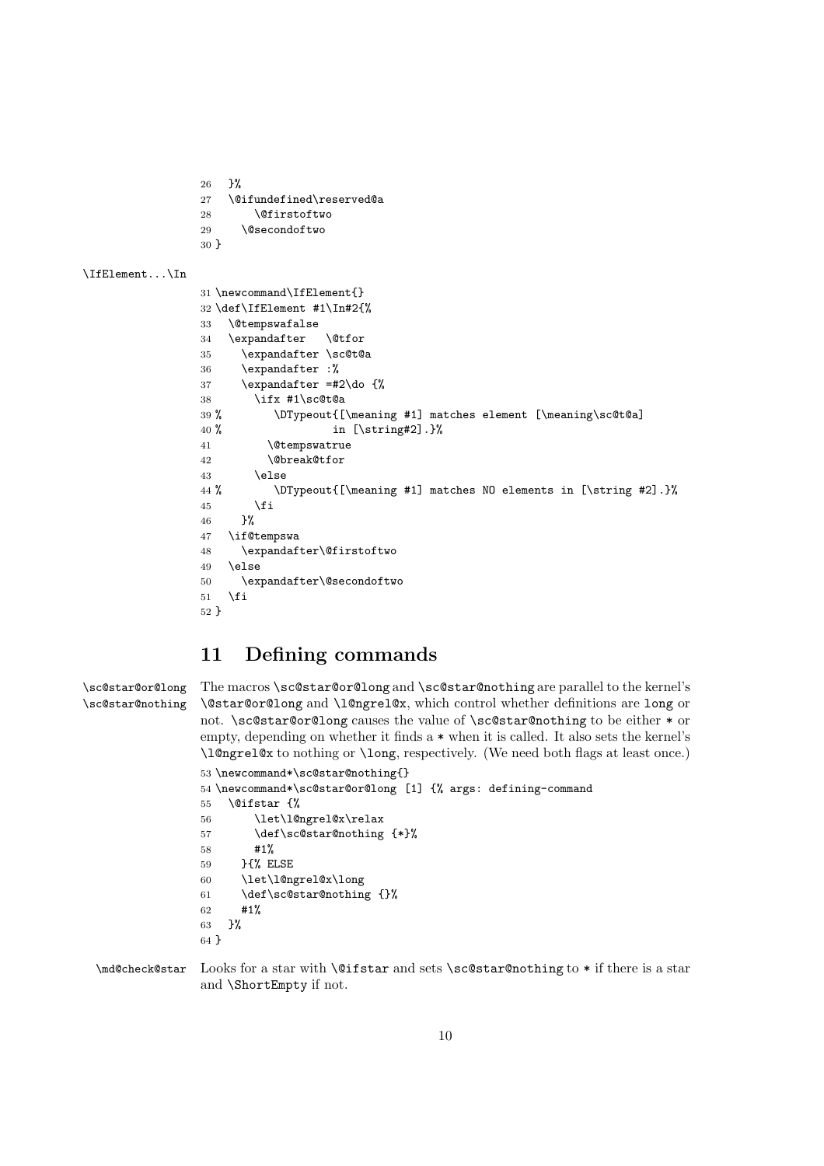```
26 }%
               27 \@ifundefined\reserved@a
               28 \@firstoftwo
               29 \@secondoftwo
               30 }
\IfElement...\In
               31 \newcommand\IfElement{}
               32 \def\IfElement #1\In#2{%
               33 \@tempswafalse
               34 \expandafter \@tfor
               35 \expandafter \sc@t@a
               36 \expandafter :%
               37 \expandafter =#2\do {%
               38 \ifx #1\sc@t@a
               39 % \DTypeout{[\meaning #1] matches element [\meaning\sc@t@a]
               40 % in [\string#2].}%
               41 \@tempswatrue
               42 \@break@tfor
               43 \else
               44 % \DTypeout{[\meaning #1] matches NO elements in [\string #2].}%
               45 \fi
               46 }%
               47 \if@tempswa
               48 \expandafter\@firstoftwo
               49 \else
               50 \expandafter\@secondoftwo
               51 \fi
               52 }
```
## **11 Defining commands**

```
\sc@star@or@long
\sc@star@nothing
                 The macros \sc@star@or@long and \sc@star@nothing are parallel to the kernel's
                  \@star@or@long and \l@ngrel@x, which control whether definitions are long or
                  not. \sc@star@or@long causes the value of \sc@star@nothing to be either * or
                  empty, depending on whether it finds a * when it is called. It also sets the kernel's
                  \l@ngrel@x to nothing or \long, respectively. (We need both flags at least once.)
                  53 \newcommand*\sc@star@nothing{}
                  54 \newcommand*\sc@star@or@long [1] {% args: defining-command
                  55 \@ifstar {%
                  56 \let\l@ngrel@x\relax
                  57 \def\sc@star@nothing {*}%
                  58 #1%
                  59 }{% ELSE
                  60 \let\l@ngrel@x\long
                  61 \def\sc@star@nothing {}%
                  62 #1%
                  63 }%
                  64 }
```
\md@check@star Looks for a star with \@ifstar and sets \sc@star@nothing to \* if there is a star and \ShortEmpty if not.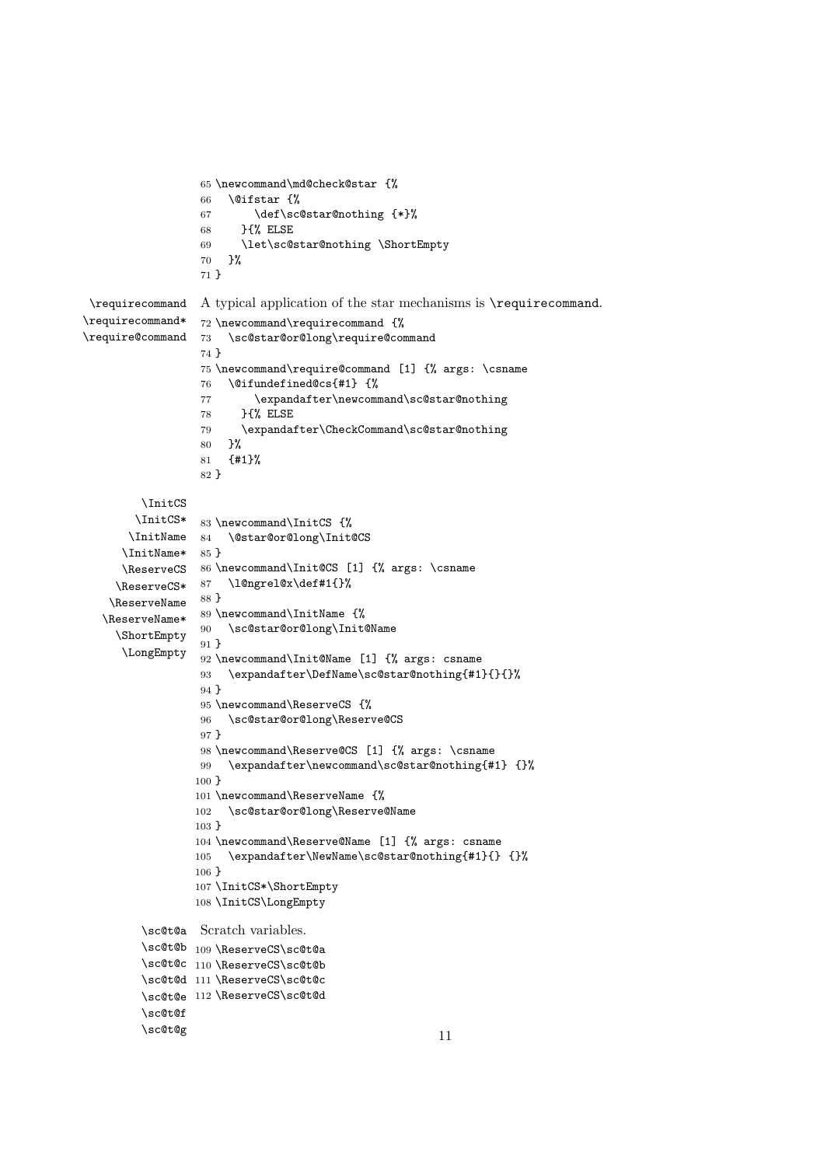```
65 \newcommand\md@check@star {%
                  66 \@ifstar {%
                 67 \def\sc@star@nothing {*}%
                 68 }{% ELSE
                  69 \let\sc@star@nothing \ShortEmpty
                  70 }%
                  71 }
\requirecommand
\requirecommand*
\require@command
                 A typical application of the star mechanisms is \requirecommand.
                 72 \newcommand\requirecommand {%
                 73 \sc@star@or@long\require@command
                 74 }
                  75 \newcommand\require@command [1] {% args: \csname
                  76 \@ifundefined@cs{#1} {%
                  77 \expandafter\newcommand\sc@star@nothing
                  78 }{% ELSE
                  79 \expandafter\CheckCommand\sc@star@nothing
                  80 }%
                  81 {#1}%
                  82 }
        \InitCS
       \InitCS*
       \InitName
84 \@star@or@long\Init@CS
      \InitName*
85 }
      \ReserveCS
86 \newcommand\Init@CS [1] {% args: \csname
     \ReserveCS*
87 \l@ngrel@x\def#1{}%
    \ReserveName 88 }
   \ReserveName*
89 \newcommand\InitName {%
     \ShortEmpty
      \LongEmpty
92 \newcommand\Init@Name [1] {% args: csname
                 83 \newcommand\InitCS {%
                 90 \sc@star@or@long\Init@Name
                 91 }
                 93 \expandafter\DefName\sc@star@nothing{#1}{}{}%
                 94 }
                 95 \newcommand\ReserveCS {%
                 96 \sc@star@or@long\Reserve@CS
                 97 }
                 98 \newcommand\Reserve@CS [1] {% args: \csname
                 99 \expandafter\newcommand\sc@star@nothing{#1} {}%
                 100 }
                 101 \newcommand\ReserveName {%
                 102 \sc@star@or@long\Reserve@Name
                 103 }
                 104 \newcommand\Reserve@Name [1] {% args: csname
                 105 \expandafter\NewName\sc@star@nothing{#1}{} {}%
                 106 }
                 107 \InitCS*\ShortEmpty
                 108 \InitCS\LongEmpty
         \sc@t@a
Scratch variables.
         \sc@t@b
109 \ReserveCS\sc@t@a
         \sc@t@c
110 \ReserveCS\sc@t@b
         \sc@t@d
111 \ReserveCS\sc@t@c
         \sc@t@e
112 \ReserveCS\sc@t@d
        \sc@t@f
        \sc@t@g
                                                      11
```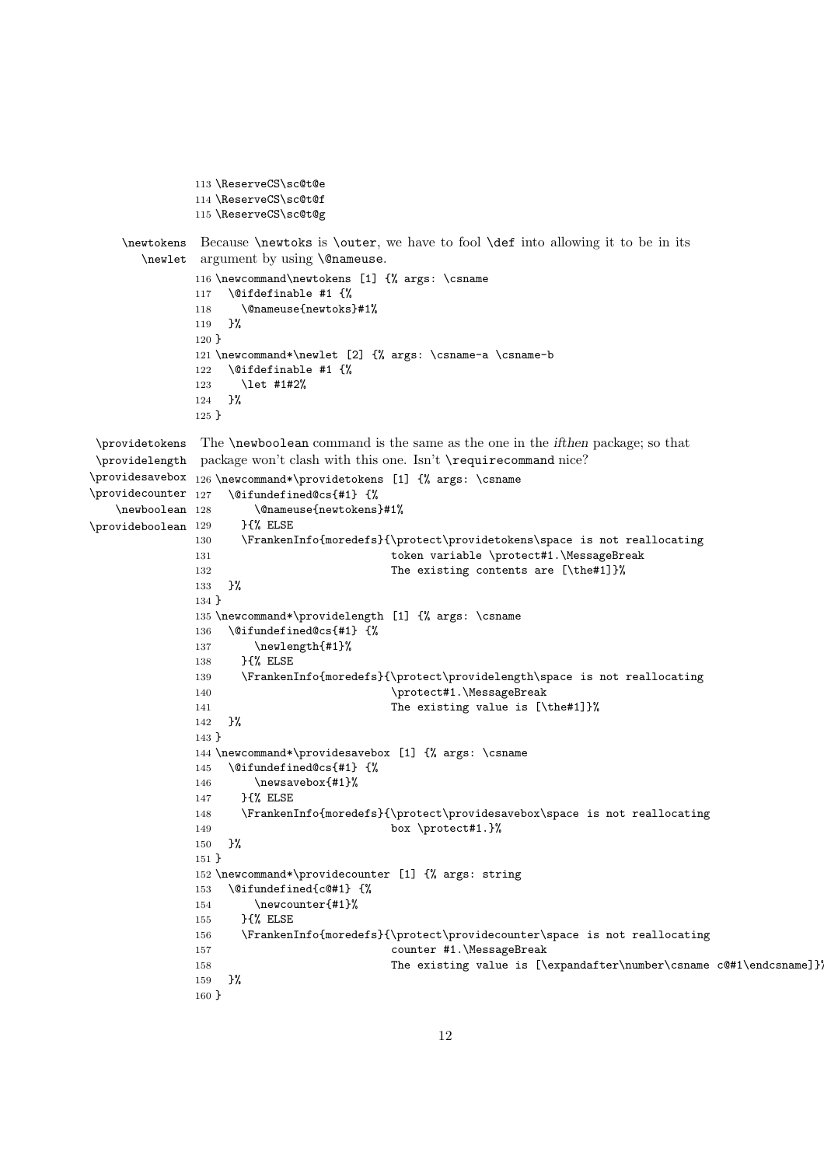```
113 \ReserveCS\sc@t@e
              114 \ReserveCS\sc@t@f
              115 \ReserveCS\sc@t@g
    \newtokens
Because \newtoks is \outer, we have to fool \def into allowing it to be in its
       \newlet
argument by using \@nameuse.
              116 \newcommand\newtokens [1] {% args: \csname
              117 \@ifdefinable #1 {%
              118 \@nameuse{newtoks}#1%
              119 }%
              120 }
              121 \newcommand*\newlet [2] {% args: \csname-a \csname-b
              122 \@ifdefinable #1 {%
              123 \let #1#2%
              124 }%
              125 }
 \providetokens
 \providelength
package won't clash with this one. Isn't \requirecommand nice?
\providesavebox 126 \newcommand*\providetokens [1] {% args: \csname
\providecounter 127
   \newboolean 128
\pi<sup>129</sup>
               The \newboolean command is the same as the one in the ifthen package; so that
                  127 \@ifundefined@cs{#1} {%
                      128 \@nameuse{newtokens}#1%
                     129 }{% ELSE
              130 \FrankenInfo{moredefs}{\protect\providetokens\space is not reallocating
              131 token variable \protect#1.\MessageBreak
              132 The existing contents are [\the#1]}%
              133 }%
              134 }
              135 \newcommand*\providelength [1] {% args: \csname
              136 \@ifundefined@cs{#1} {%
              137 \newlength{#1}%
              138 }{% ELSE
              139 \FrankenInfo{moredefs}{\protect\providelength\space is not reallocating
              140 \protect#1.\MessageBreak
              141 The existing value is [\the#1]}%
              142 }%
              143 }
              144 \newcommand*\providesavebox [1] {% args: \csname
              145 \@ifundefined@cs{#1} {%
              146 \newsavebox{#1}%
              147 }{% ELSE
              148 \FrankenInfo{moredefs}{\protect\providesavebox\space is not reallocating
              149 box \protect#1.}%
              150 }%
              151 }
              152 \newcommand*\providecounter [1] {% args: string
              153 \@ifundefined{c@#1} {%
              154 \newcounter{#1}%
              155 }{% ELSE
              156 \FrankenInfo{moredefs}{\protect\providecounter\space is not reallocating
              157 counter #1.\MessageBreak
              158 The existing value is [\expandafter\number\csname c@#1\endcsname]}
              159 }%
              160 }
```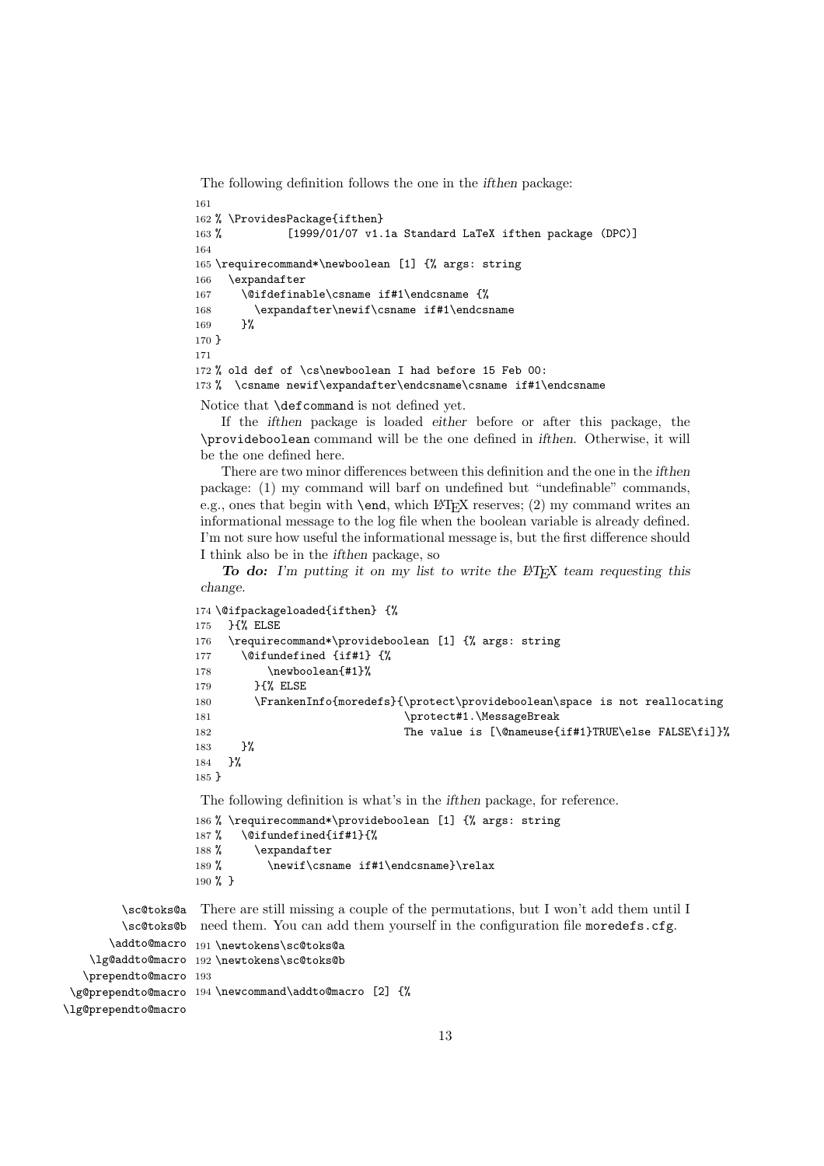The following definition follows the one in the *ifthen* package:

```
161
162 % \ProvidesPackage{ifthen}
163 % [1999/01/07 v1.1a Standard LaTeX ifthen package (DPC)]
164
165 \requirecommand*\newboolean [1] {% args: string
166 \expandafter
167 \@ifdefinable\csname if#1\endcsname {%
168 \expandafter\newif\csname if#1\endcsname
169 }%
170 }
171
172 % old def of \cs\newboolean I had before 15 Feb 00:
173 % \csname newif\expandafter\endcsname\csname if#1\endcsname
```
Notice that \defcommand is not defined yet.

If the *ifthen* package is loaded *either* before or after this package, the \provideboolean command will be the one defined in *ifthen*. Otherwise, it will be the one defined here.

There are two minor differences between this definition and the one in the *ifthen* package: (1) my command will barf on undefined but "undefinable" commands, e.g., ones that begin with  $\end{subarray}$  which LATEX reserves; (2) my command writes an informational message to the log file when the boolean variable is already defined. I'm not sure how useful the informational message is, but the first difference should I think also be in the *ifthen* package, so

*To do: I'm putting it on my list to write the LATEX team requesting this change.*

```
174 \@ifpackageloaded{ifthen} {%
175 }{% ELSE
176 \requirecommand*\provideboolean [1] {% args: string
177 \@ifundefined {if#1} {%
178 \newboolean{#1}%
179 }{% ELSE
180 \FrankenInfo{moredefs}{\protect\provideboolean\space is not reallocating
181 \protect#1.\MessageBreak
182 The value is [\@nameuse{if#1}TRUE\else FALSE\fi]}%
183    }%
184 }%
185 }
The following definition is what's in the ifthen package, for reference.
186 % \requirecommand*\provideboolean [1] {% args: string
```

```
187 % \@ifundefined{if#1}{%
188 % \expandafter
189 % \newif\csname if#1\endcsname}\relax
190 % }
```
\sc@toks@a \sc@toks@b need them. You can add them yourself in the configuration file moredefs.cfg. \addto@macro 191\newtokens\sc@toks@a \lg@addto@macro 192 \newtokens\sc@toks@b \prependto@macro 193 \g@prependto@macro 194 \newcommand\addto@macro [2] {% \lg@prependto@macro There are still missing a couple of the permutations, but I won't add them until I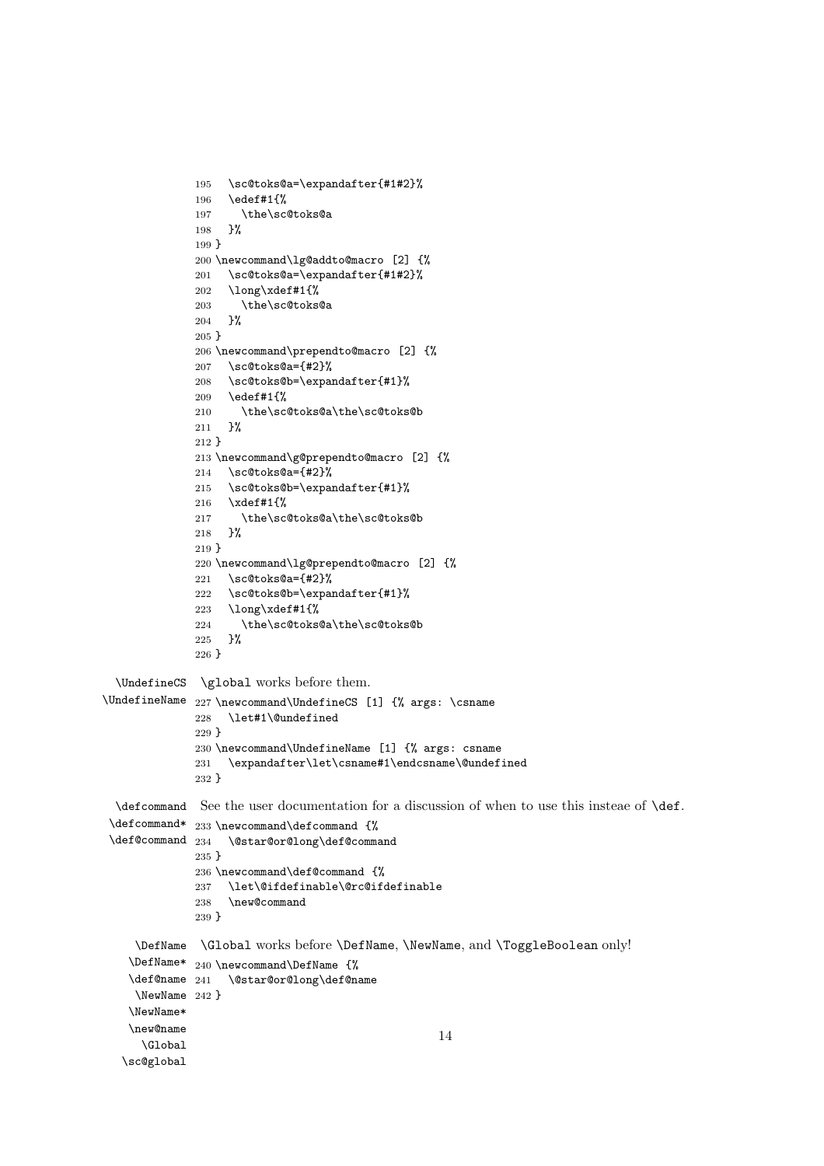```
195 \sc@toks@a=\expandafter{#1#2}%
              196 \edef#1{%
              197 \the\sc@toks@a
              198 }%
              199 }
              200 \newcommand\lg@addto@macro [2] {%
              201 \sc@toks@a=\expandafter{#1#2}%
              202 \long\xdef#1{%
              203 \the\sc@toks@a
              204 }%
              205 }
              206 \newcommand\prependto@macro [2] {%
              207 \sc@toks@a={#2}%
              208 \sc@toks@b=\expandafter{#1}%
              209 \edef#1{%
              210 \the\sc@toks@a\the\sc@toks@b
              211 }%
              212 }
              213 \newcommand\g@prependto@macro [2] {%
              214 \sc@toks@a={#2}%
              215 \sc@toks@b=\expandafter{#1}%
              216 \xdef#1{%
              217 \the\sc@toks@a\the\sc@toks@b
              218 }%
              219 }
              220 \newcommand\lg@prependto@macro [2] {%
              221 \sc@toks@a={#2}%
              222 \sc@toks@b=\expandafter{#1}%
              223 \long\xdef#1{%
              224 \the\sc@toks@a\the\sc@toks@b
              225 }%
              226 }
  \UndefineCS
\global works before them.
\UndefineName
227 \newcommand\UndefineCS [1] {% args: \csname
              228 \let#1\@undefined
              229 }
              230 \newcommand\UndefineName [1] {% args: csname
              231 \expandafter\let\csname#1\endcsname\@undefined
              232 }
  \defcommand
See the user documentation for a discussion of when to use this insteae of \def.
 \defcommand* 233 \newcommand\defcommand {%
 \def@command 234 \@star@or@long\def@command
              235 }
              236 \newcommand\def@command {%
              237 \let\@ifdefinable\@rc@ifdefinable<br>238 \new@command
                   \new@command
              239 }
     \DefName
\Global works before \DefName, \NewName, and \ToggleBoolean only!
    \DefName*
240 \newcommand\DefName {%
   \text{Qename} 241
     \NewName
242 }
   \NewName*
   \new@name
     \Global
  \sc@global
                  \@star@or@long\def@name
                                                    14
```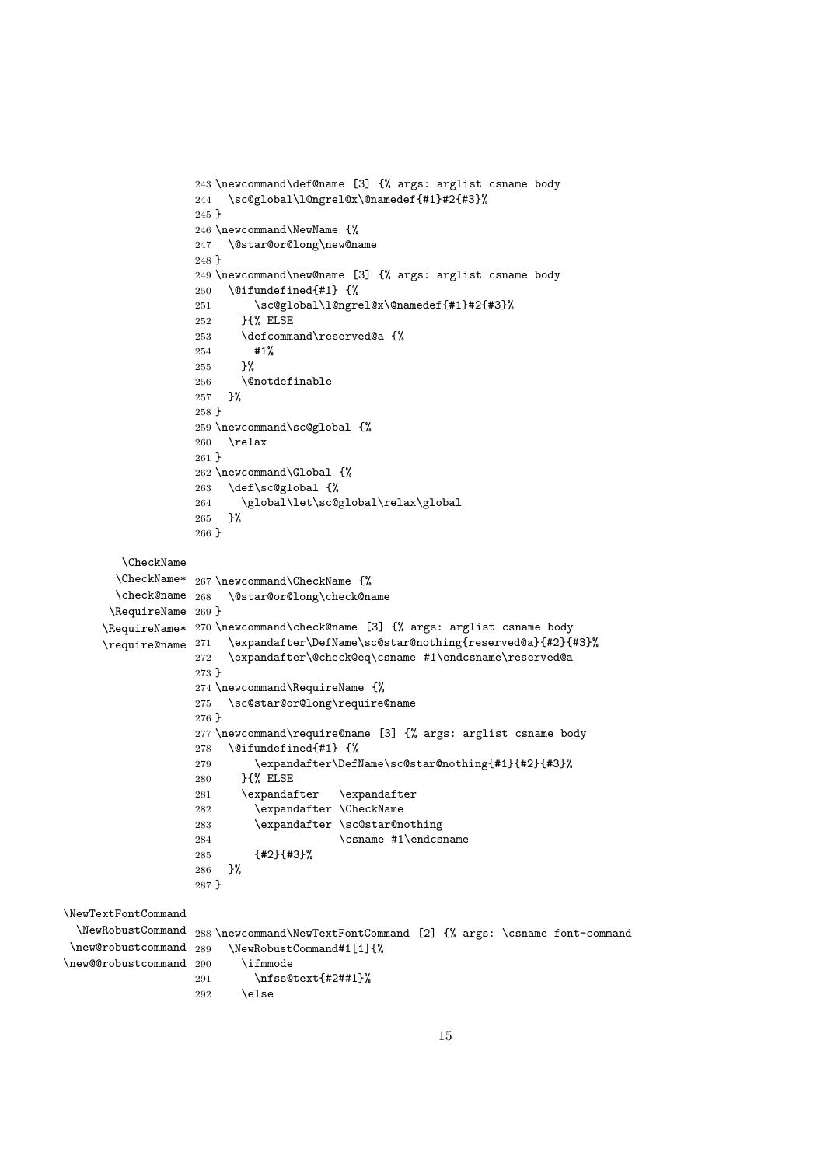```
243 \newcommand\def@name [3] {% args: arglist csname body
                   244 \sc@global\l@ngrel@x\@namedef{#1}#2{#3}%
                   245 }
                   246 \newcommand\NewName {%
                   247 \@star@or@long\new@name
                   248 }
                   249 \newcommand\new@name [3] {% args: arglist csname body
                   250 \@ifundefined{#1} {%
                   251 \sc@global\l@ngrel@x\@namedef{#1}#2{#3}%
                   252 }{% ELSE
                   253 \defcommand\reserved@a {%
                   254 #1%
                   255 }%
                   256 \@notdefinable
                   257 }%
                   258 }
                   259 \newcommand\sc@global {%
                   260 \relax
                   261 }
                   262 \newcommand\Global {%
                   263 \def\sc@global {%
                   264 \global\let\sc@global\relax\global
                   265 }%
                   266 }
        \CheckName
        \CheckName*
267 \newcommand\CheckName {%
        \check@name 268 \@star@or@long\check@name
       \RequireName
269 }
      \RequireName*
270 \newcommand\check@name [3] {% args: arglist csname body
     \text{V}require@name ^{271}271 \expandafter\DefName\sc@star@nothing{reserved@a}{#2}{#3}%
                   272 \expandafter\@check@eq\csname #1\endcsname\reserved@a
                   273 }
                   274 \newcommand\RequireName {%
                   275 \sc@star@or@long\require@name
                   276 }
                   277 \newcommand\require@name [3] {% args: arglist csname body
                   278 \@difundefined{#1} {%
                   279 \expandafter\DefName\sc@star@nothing{#1}{#2}{#3}%
                   280 }{% ELSE<br>281 \expandafter
                                         \expandafter
                   282 \expandafter \CheckName
                   283 \expandafter \sc@star@nothing
                   284 \csname #1\endcsname
                   285 {#2}{#3}%
                   286 }%
                   287 }
\NewTextFontCommand
  \NewRobustCommand
288 \newcommand\NewTextFontCommand [2] {% args: \csname font-command
 \new@robustcommand
289 \NewRobustCommand#1[1]{%
\new@@robustcommand 290
                          \iint m node291 \nfss@text{#2##1}%
                   292 \else
```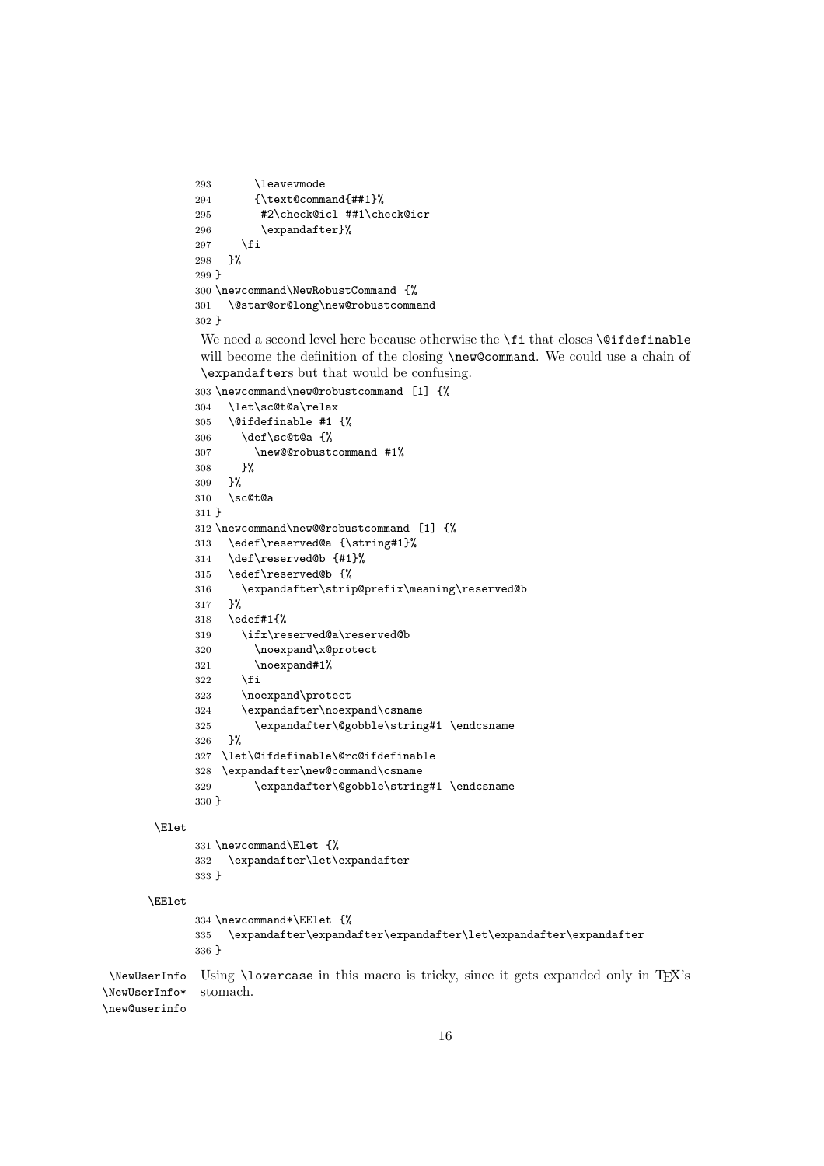```
293 \leaveymode
294 {\text@command{##1}%
295 #2\check@icl ##1\check@icr
296 \expandafter}%
297 \fi
298 }%
299 }
300 \newcommand\NewRobustCommand {%
301 \@star@or@long\new@robustcommand
302 }
```
We need a second level here because otherwise the **\fi** that closes **\@ifdefinable** will become the definition of the closing \new@command. We could use a chain of \expandafters but that would be confusing.

```
303 \newcommand\new@robustcommand [1] {%
     304 \let\sc@t@a\relax
     305 \@ifdefinable #1 \306 \def\sc@t@a {%
     307 \new@@robustcommand #1%
     308 }%
     309 }%
     310 \sc@t@a
     311 }
     312 \newcommand\new@@robustcommand [1] {%
     313 \edef\reserved@a {\string#1}%
     314 \def\reserved@b {#1}%
     315 \edef\reserved@b {%
     316 \expandafter\strip@prefix\meaning\reserved@b
     317 }%
     318 \edef#1{%
     319 \ifx\reserved@a\reserved@b
     320 \noexpand\x@protect
     321 \noexpand#1%
     322 \fi
     323 \noexpand\protect
     324 \expandafter\noexpand\csname
     325 \expandafter\@gobble\string#1 \endcsname
     326 }%
     327 \let\@ifdefinable\@rc@ifdefinable
     328 \expandafter\new@command\csname
     329 \expandafter\@gobble\string#1 \endcsname
     330 }
\Elet
     331 \newcommand\Elet {%
     332 \expandafter\let\expandafter
     333 }
```

```
\EElet
```

```
334 \newcommand*\EElet {%
              335 \expandafter\expandafter\expandafter\let\expandafter\expandafter
              336 }
 \NewUserInfo
Using \lowercase in this macro is tricky, since it gets expanded only in TEX's
\NewUserInfo*
\new@userinfo
               stomach.
```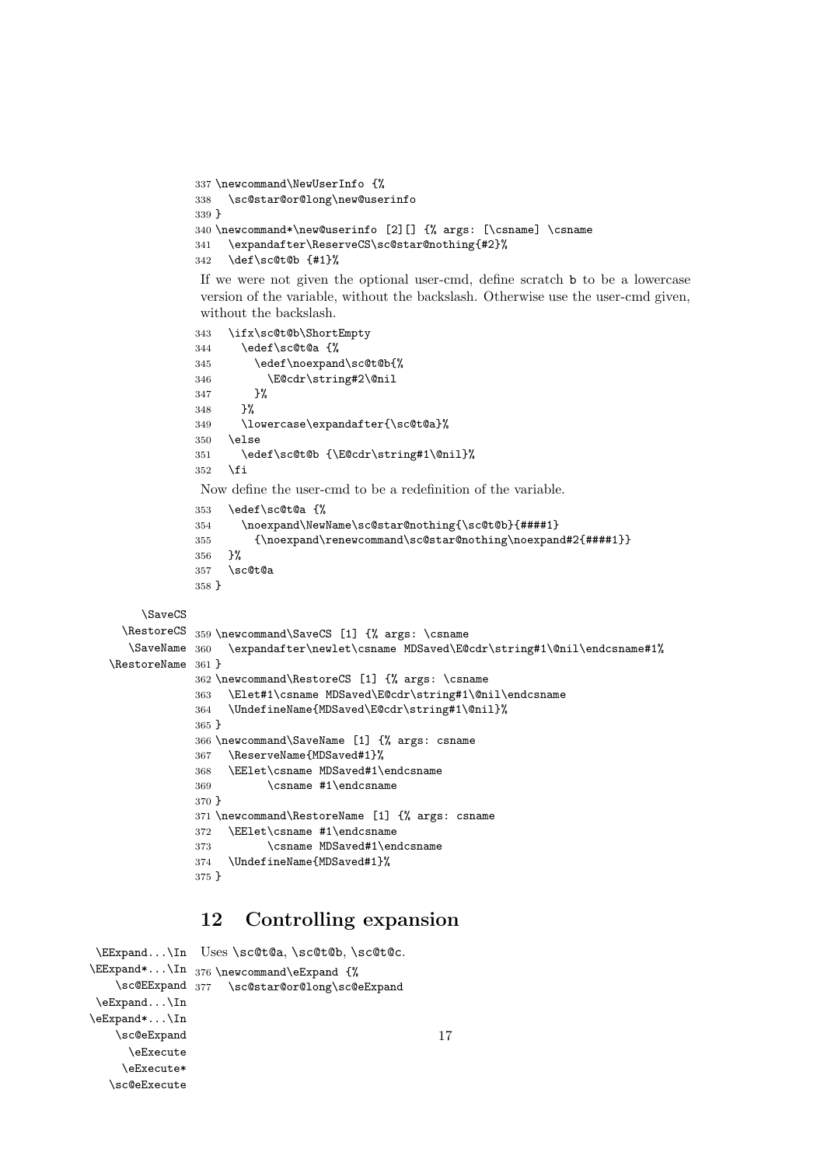```
337 \newcommand\NewUserInfo {%
338 \sc@star@or@long\new@userinfo
339 }
340 \newcommand*\new@userinfo [2][] {% args: [\csname] \csname
341 \expandafter\ReserveCS\sc@star@nothing{#2}%
342 \def\sc@t@b {#1}%
```
If we were not given the optional user-cmd, define scratch b to be a lowercase version of the variable, without the backslash. Otherwise use the user-cmd given, without the backslash.

```
343 \ifx\sc@t@b\ShortEmpty
            344 \edef\sc@t@a {%
            345 \edef\noexpand\sc@t@b{%
            346 \E@cdr\string#2\@nil
            347 }%
            348 }%
            349 \lowercase\expandafter{\sc@t@a}%
            350 \else
            351 \edef\sc@t@b {\E@cdr\string#1\@nil}%
            352 \fi
             Now define the user-cmd to be a redefinition of the variable.
            353 \edef\sc@t@a {%
            354 \noexpand\NewName\sc@star@nothing{\sc@t@b}{####1}
            355 {\noexpand\renewcommand\sc@star@nothing\noexpand#2{####1}}
            356 }%
            357 \sc@t@a
            358 }
    \SaveCS
 \RestoreCS
359 \newcommand\SaveCS [1] {% args: \csname
  \text{SaveName } 360\RestoreName
361 }
                 \expandafter\newlet\csname MDSaved\E@cdr\string#1\@nil\endcsname#1%
            362 \newcommand\RestoreCS [1] {% args: \csname
            363 \Elet#1\csname MDSaved\E@cdr\string#1\@nil\endcsname
            364 \UndefineName{MDSaved\E@cdr\string#1\@nil}%
            365 }
            366 \newcommand\SaveName [1] {% args: csname
            367 \ReserveName{MDSaved#1}%
            368 \EElet\csname MDSaved#1\endcsname
            369 \csname #1\endcsname
            370 }
            371 \newcommand\RestoreName [1] {% args: csname
            372 \EElet\csname #1\endcsname
            373 \csname MDSaved#1\endcsname
            374 \UndefineName{MDSaved#1}%
```
#### }

## **12 Controlling expansion**

```
\EExpand...\In
Uses \sc@t@a, \sc@t@b, \sc@t@c.
\EExpand*...\In
376 \newcommand\eExpand {%
    \sc@EExpand
377 \sc@star@or@long\sc@eExpand
\eExpand...\In
\eExpand*...\In
    \sc@eExpand
      \eExecute
     \eExecute*
  \sc@eExecute
```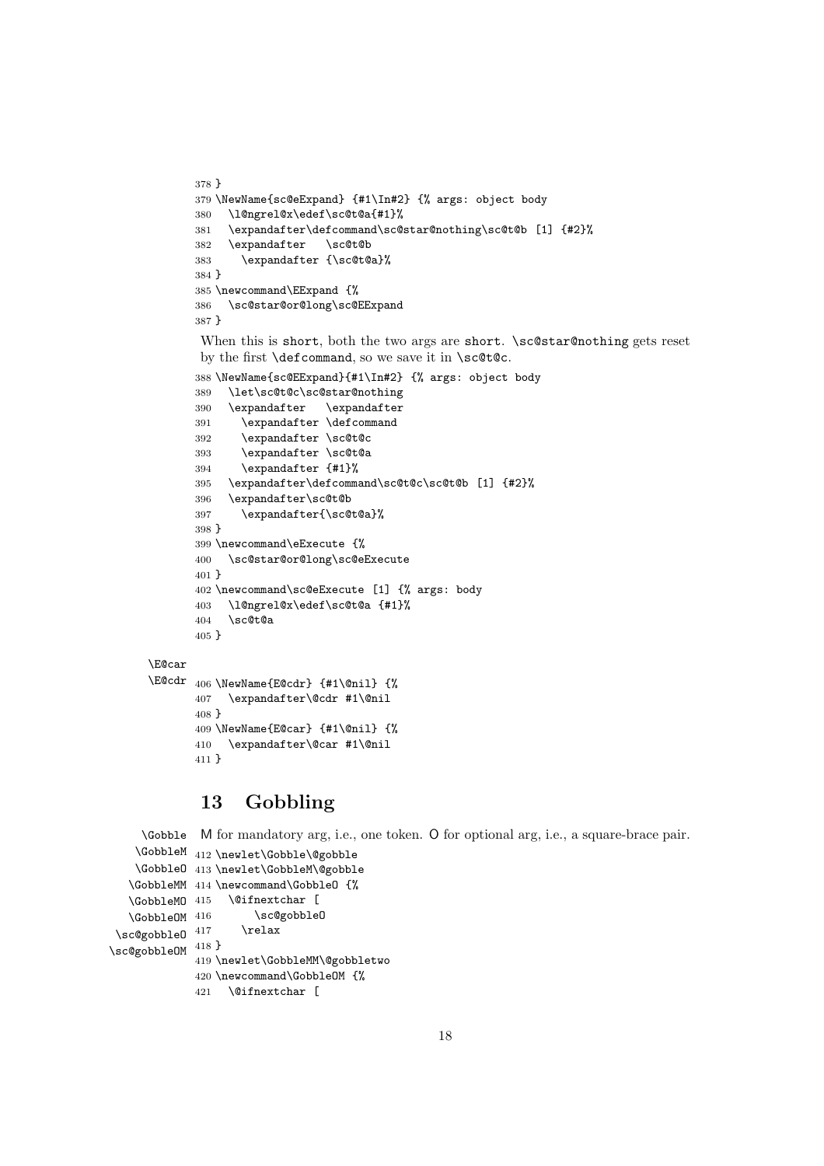```
378 }
       379 \NewName{sc@eExpand} {#1\In#2} {% args: object body
       380 \l@ngrel@x\edef\sc@t@a{#1}%
       381 \expandafter\defcommand\sc@star@nothing\sc@t@b [1] {#2}%
       382 \expandafter \sc@t@b
       383 \expandafter {\sc@t@a}%
       384 }
       385 \newcommand\EExpand {%
       386 \sc@star@or@long\sc@EExpand
       387 }
       When this is short, both the two args are short. \sc@star@nothing gets reset
       by the first \defcommand, so we save it in \sc@t@c.
       388 \NewName{sc@EExpand}{#1\In#2} {% args: object body
       389 \let\sc@t@c\sc@star@nothing
       390 \expandafter \expandafter
       391 \expandafter \defcommand
       392 \expandafter \sc@t@c
       393 \expandafter \sc@t@a
       394 \expandafter {#1}%
       395 \expandafter\defcommand\sc@t@c\sc@t@b [1] {#2}%
       396 \expandafter\sc@t@b
       397 \expandafter{\sc@t@a}%
       398 }
       399 \newcommand\eExecute {%
       400 \sc@star@or@long\sc@eExecute
       401 }
       402 \newcommand\sc@eExecute [1] {% args: body
       403 \l@ngrel@x\edef\sc@t@a {#1}%
       404 \sc@t@a
       405 }
\E@car
\E@cdr 406 \NewName{E@cdr} {#1\@nil} {%
       407 \expandafter\@cdr #1\@nil
       408 }
       409 \NewName{E@car} {#1\@nil} {%
       410 \expandafter\@car #1\@nil
       411 }
```
## **13 Gobbling**

```
\Gobble
M for mandatory arg, i.e., one token. O for optional arg, i.e., a square-brace pair.
    \GobbleM
412 \newlet\Gobble\@gobble
    \GobbleO
413 \newlet\GobbleM\@gobble
   \GobbleMM
414 \newcommand\GobbleO {%
   \GobbleMO
415 \@ifnextchar [
   \GobbleOM 416
\simeq 417\sc@gobbleOM 418 }
                      \sc@gobbleO
                     \text{relax}419 \newlet\GobbleMM\@gobbletwo
             420 \newcommand\GobbleOM {%
             421 \@ifnextchar [
```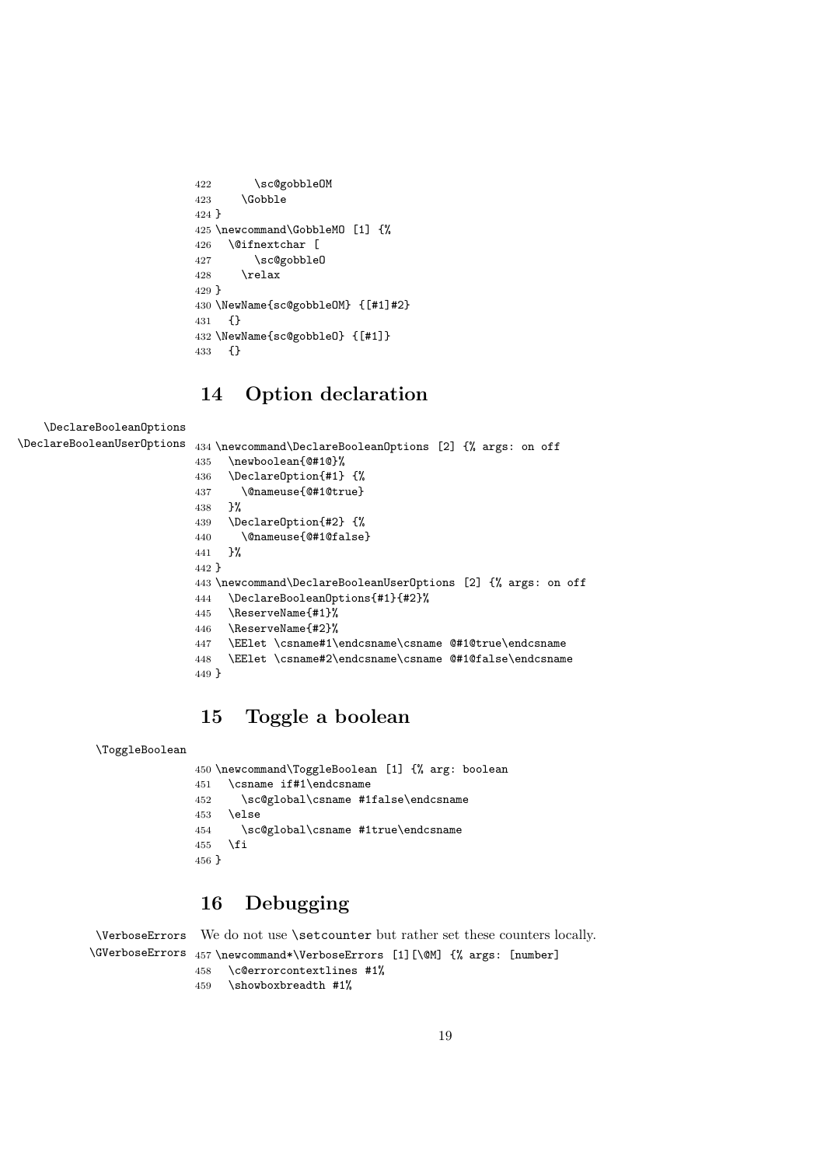```
422 \sc@gobbleOM
423 \qquad \text{Gobble}424 }
425 \newcommand\GobbleMO [1] {%
426 \@ifnextchar [
427 \sc@gobbleO
428 \relax
429 }
430 \NewName{sc@gobbleOM} {[#1]#2}
431 {}
432 \NewName{sc@gobbleO} {[#1]}
433 {}
```
# **14 Option declaration**

```
\DeclareBooleanOptions
\DeclareBooleanUserOptions 434 \newcommand\DeclareBooleanOptions [2] {% args: on off
                           435 \newboolean{@#1@}%
                           436 \DeclareOption{#1} {%
                           437 \@nameuse{@#1@true}
                           438 }%<br>439 \D
                                 439 \DeclareOption{#2} {%
                           440 \@nameuse{@#1@false}
                           441 }%
                           442 }
                           443 \newcommand\DeclareBooleanUserOptions [2] {% args: on off
                           444 \DeclareBooleanOptions{#1}{#2}%
                           445 \ReserveName{#1}%
                           446 \ReserveName{#2}%
                           447 \EElet \csname#1\endcsname\csname @#1@true\endcsname
                           448 \EElet \csname#2\endcsname\csname @#1@false\endcsname
                           449 }
```
## **15 Toggle a boolean**

```
\ToggleBoolean
```

```
450 \newcommand\ToggleBoolean [1] {% arg: boolean
451 \csname if#1\endcsname
452 \sc@global\csname #1false\endcsname
453 \lambdaelse
454 \sc@global\csname #1true\endcsname
455 \fi
456 }
```
# **16 Debugging**

```
\VerboseErrors
\GVerboseErrors
457 \newcommand*\VerboseErrors [1][\@M] {% args: [number]
                We do not use \setcounter but rather set these counters locally.
                458 \c@errorcontextlines #1%
```

```
459 \showboxbreadth #1%
```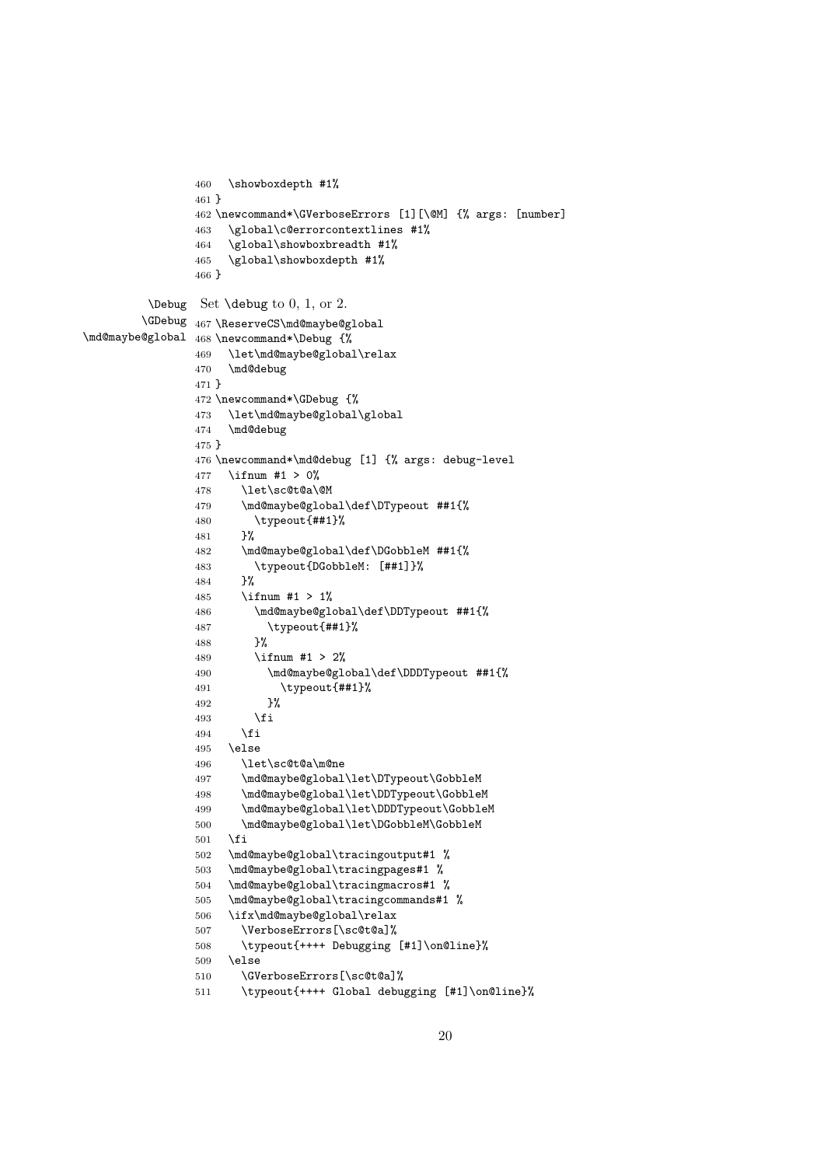```
460 \showboxdepth #1%
                461 }
                462 \newcommand*\GVerboseErrors [1][\@M] {% args: [number]
                463 \global\c@errorcontextlines #1%
                464 \global\showboxbreadth #1%
                465 \global\showboxdepth #1%
                466 }
         \Debug
Set \debug to 0, 1, or 2.
        \GDebug
467 \ReserveCS\md@maybe@global
\md@maybe@global
468 \newcommand*\Debug {%
                469 \let\md@maybe@global\relax
                470 \md@debug
                471 }
                472 \newcommand*\GDebug {%
                473 \let\md@maybe@global\global
                474 \md@debug
                475 }
                476 \newcommand*\md@debug [1] {% args: debug-level
                477 \ifnum #1 > 0%
                478 \let\sc@t@a\@M
                479 \md@maybe@global\def\DTypeout ##1{%
                480 \typeout{##1}%
                481 }%
                482 \md@maybe@global\def\DGobbleM ##1{%
                483 \typeout{DGobbleM: [##1]}%
                484 }%
                485 \ifnum #1 > 1%
                486 \md@maybe@global\def\DDTypeout ##1{%
                487 \typeout{##1}%
                488 }%
                489 \ifnum #1 > 2%
                490 \md@maybe@global\def\DDDTypeout ##1{%
                491 \typeout{##1}%
                492 }%
                493 \setminusfi
                494 \overrightarrow{f}495 \else
                496 \let\sc@t@a\m@ne
                497 \md@maybe@global\let\DTypeout\GobbleM
                498 \md@maybe@global\let\DDTypeout\GobbleM
                499 \md@maybe@global\let\DDDTypeout\GobbleM
                500 \md@maybe@global\let\DGobbleM\GobbleM
                501 \setminusfi
                502 \md@maybe@global\tracingoutput#1 %
                503 \md@maybe@global\tracingpages#1 %
                504 \md@maybe@global\tracingmacros#1 %
                505 \md@maybe@global\tracingcommands#1 %
                506 \ifx\md@maybe@global\relax
                507 \VerboseErrors[\sc@t@a]%
                508 \typeout{++++ Debugging [#1]\on@line}%
                509 \else
                510 \GVerboseErrors[\sc@t@a]%
                511 \typeout{++++ Global debugging [#1]\on@line}%
```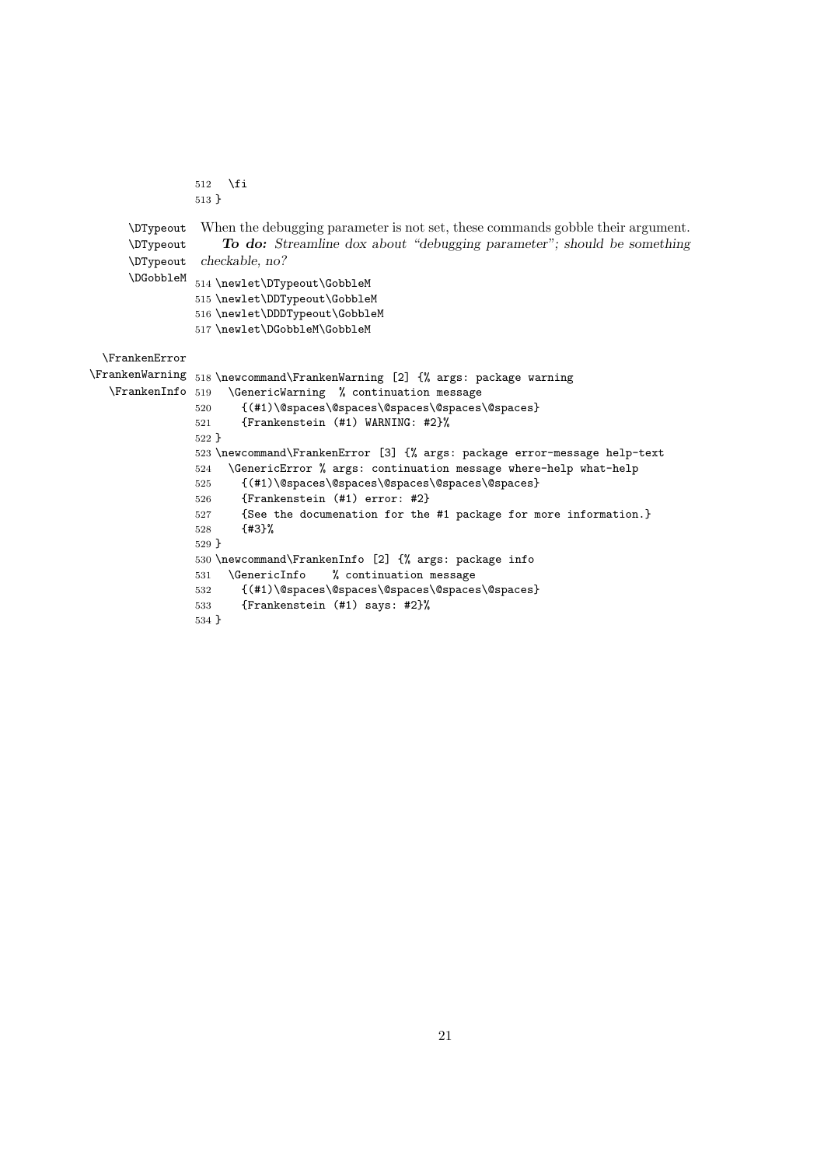```
512 \overline{f}513 }
     \DTypeout
     \DTypeout
     \DTypeout
     \DGobbleM
                When the debugging parameter is not set, these commands gobble their argument.
                    To do: Streamline dox about "debugging parameter"; should be something
                checkable, no?
               514 \newlet\DTypeout\GobbleM
               515 \newlet\DDTypeout\GobbleM
               516 \newlet\DDDTypeout\GobbleM
               517 \newlet\DGobbleM\GobbleM
 \FrankenError
\FrankenWarning
518 \newcommand\FrankenWarning [2] {% args: package warning
  \FrankenInfo
                    \GenericWarning % continuation message
               520 {(#1)\@spaces\@spaces\@spaces\@spaces\@spaces}
               521 {Frankenstein (#1) WARNING: #2}%
               522 }
               523 \newcommand\FrankenError [3] {% args: package error-message help-text
               524 \GenericError % args: continuation message where-help what-help
               525 {(#1)\@spaces\@spaces\@spaces\@spaces\@spaces}
               526 {Frankenstein (#1) error: #2}
               527 {See the documenation for the #1 package for more information.}
               528 {#3}%
               529 }
               530 \newcommand\FrankenInfo [2] {% args: package info
               531 \GenericInfo % continuation message
               532 {(#1)\@spaces\@spaces\@spaces\@spaces\@spaces}
               533 {Frankenstein (#1) says: #2}%
               534 }
```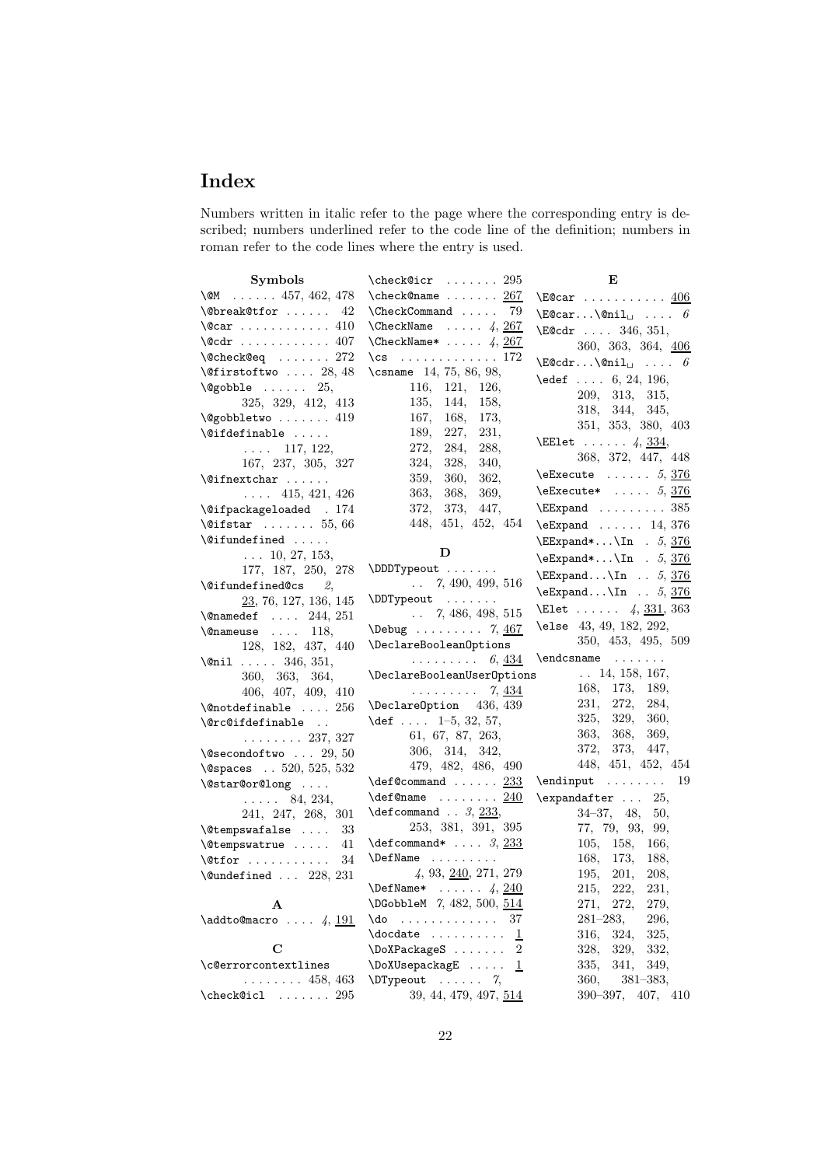# **Index**

Numbers written in italic refer to the page where the corresponding entry is described; numbers underlined refer to the code line of the definition; numbers in roman refer to the code lines where the entry is used.

| <b>Symbols</b>                                                            | $\text{check@icr } \ldots 295$                      | Е                                                   |
|---------------------------------------------------------------------------|-----------------------------------------------------|-----------------------------------------------------|
| \CM 457, 462, 478                                                         | $\texttt{check@name} \dots \dots \underline{267}$   | $\text{E@car } \ldots \ldots \ldots \frac{406}{1}$  |
| $\text{Obreak@tfor  42}$                                                  | $\Lambda$ 79                                        | $\text{E@car}\$ Qnil <sub><math>\cup</math></sub> 6 |
| $\sqrt{c}ar \ldots \ldots \ldots 410$                                     | $\text{CheckName } \dots 4, \frac{267}{2}$          | $\text{E@cdr }  346, 351,$                          |
| $\text{Qcdr}$ 407                                                         | $\text{CheckName*} \dots 4, \frac{267}{2}$          | 360, 363, 364, 406                                  |
| $\texttt{\textback{Qeq}} \dots 272$                                       | \cs $\ldots \ldots \ldots 172$                      | $\text{CEQcdr} \dots \text{Onil}_{\square} \dots 6$ |
| $\text{\textbackslash}\mathfrak{G}$ irstoftwo  28, 48                     | \csname 14, 75, 86, 98,                             | $\text{led} 6, 24, 196,$                            |
| $\text{Qgobble} \ldots \ldots 25,$                                        | 116, 121,<br>126,                                   | 209, 313,<br>315,                                   |
| 325, 329, 412, 413                                                        | 135, 144,<br>158,                                   | 318, 344, 345,                                      |
| $\texttt{\textbackslash Qgobbletwo \dots 419}$                            | 167,<br>168,<br>173,                                | 351, 353, 380, 403                                  |
| $\setminus$ @ifdefinable                                                  | 189,<br>227,<br>231,                                | <b>\EElet</b> $4, 334,$                             |
| $\ldots$ 117, 122,                                                        | 272,<br>284,<br>288,                                | 368, 372, 447, 448                                  |
| 167, 237, 305, 327                                                        | 324,<br>328,<br>340,                                | $\text{Ezecute} \dots 5, 376$                       |
| $\left\{ \circlearrowright$                                               | 362,<br>359,<br>360,                                |                                                     |
| $\ldots$ 415, 421, 426                                                    | 363,<br>368,<br>369,                                | $\text{Ezecute*} \dots 5, 376$                      |
| \@ifpackageloaded . 174                                                   | 372, 373,<br>447,                                   | $\E$ Expand  385                                    |
| $\texttt{\textbackslash}\mathfrak{G}$ ifstar $\ldots \ldots \ldots 55,66$ | 448, 451, 452, 454                                  | $\text{Expand} \dots 14, 376$                       |
| \@ifundefined                                                             |                                                     | $\E$ Expand* \In . 5, 376                           |
| $\ldots$ 10, 27, 153,                                                     | D<br>\DDDTypeout                                    | \eExpand*\In $.5, 376$                              |
| 177, 187, 250, 278                                                        | $\ldots$ 7, 490, 499, 516                           | $\E$ xpand $\In$ 5, 376                             |
|                                                                           | \DDTypeout                                          | $\text{Expand}\$ In $. 5, 376$                      |
| 23, 76, 127, 136, 145                                                     | $\ldots$ 7, 486, 498, 515                           | <b>\Elet</b> $4, 331, 363$                          |
| $\Omega$ 244, 251                                                         | $\Delta$ $\ldots$ 7, 467                            | \else 43, 49, 182, 292,                             |
| $\{\n$ enameuse  118,<br>128, 182, 437, 440                               | \DeclareBooleanOptions                              | 350, 453, 495, 509                                  |
| $\lambda$ nil  346, 351,                                                  | $\ldots \ldots \ldots 6, \underline{434}$           |                                                     |
| 360, 363, 364,                                                            | \DeclareBooleanUserOptions                          | $\ldots$ 14, 158, 167,                              |
| 406, 407, 409, 410                                                        | . 7, <u>434</u>                                     | 168, 173, 189,                                      |
| $\{\texttt{Onotdefinable}\ \dots\ 256}\$                                  | \Declare0ption 436, 439                             | 231, 272, 284,                                      |
| \@rc@ifdefinable                                                          | \def $1-5$ , $32$ , $57$ ,                          | 325,<br>329,<br>360,                                |
| $\ldots \ldots 237, 327$                                                  | 61, 67, 87, 263,                                    | 363, 368, 369,                                      |
| $\text{Qsecondoftwo} \dots 29, 50$                                        | 306, 314, 342,                                      | 373, 447,<br>372,                                   |
| \@spaces . 520, 525, 532                                                  | 479, 482, 486, 490                                  | 448, 451, 452, 454                                  |
| \@star@or@long                                                            | $\texttt{def}$ 233                                  | $\end{input}$<br>19                                 |
| $\ldots$ 84, 234,                                                         | $\texttt{def}$ 240                                  | $\text{expandafter} \dots 25,$                      |
| 241, 247, 268, 301                                                        | $\text{deformand} \dots 3, \underline{233},$        | $34-37, 48,$<br>50,                                 |
| $\texttt{\textbackslash}$ Ctempswafalse  33                               | 253, 381, 391, 395                                  | 77, 79, 93, 99,                                     |
| \@tempswatrue<br>41                                                       | $\defcommand* \f{$                                  | 105, 158, 166,                                      |
| $\setminus$ @tfor<br>34                                                   | \DefName                                            | 168,<br>173,<br>188,                                |
| $\text{\&\quad} \ldots 228, 231$                                          | $4, 93, \underline{240}, 271, 279$                  | 195,<br>201,<br>208,                                |
|                                                                           | $\Delta^*$ $\frac{4}{240}$                          | 215, 222,<br>231,                                   |
| A                                                                         | \DGobbleM 7, 482, 500, 514                          | 271, 272,<br>279,                                   |
| $\addto \mathbb{C}$ $\downarrow$ , $\frac{191}{191}$                      | $\sim$ . The second contract of $\sim$<br>\do<br>37 | $281 - 283,$<br>296,                                |
|                                                                           | $\odot$ $\cdots$                                    | 316,<br>324,<br>325,                                |
| $\mathbf C$                                                               | \DoXPackageS<br>$\overline{2}$                      | 329,<br>332,<br>328,                                |
| \c@errorcontextlines                                                      | \DoXUsepackagE<br>$\perp$                           | 335,<br>341,<br>349,                                |
| $\ldots \ldots 458, 463$                                                  | $\D{Typeout}$ 7,                                    | 360,<br>$381 - 383,$                                |
| $\text{check@icl} \dots 295$                                              | 39, 44, 479, 497, 514                               | 390-397, 407, 410                                   |
|                                                                           |                                                     |                                                     |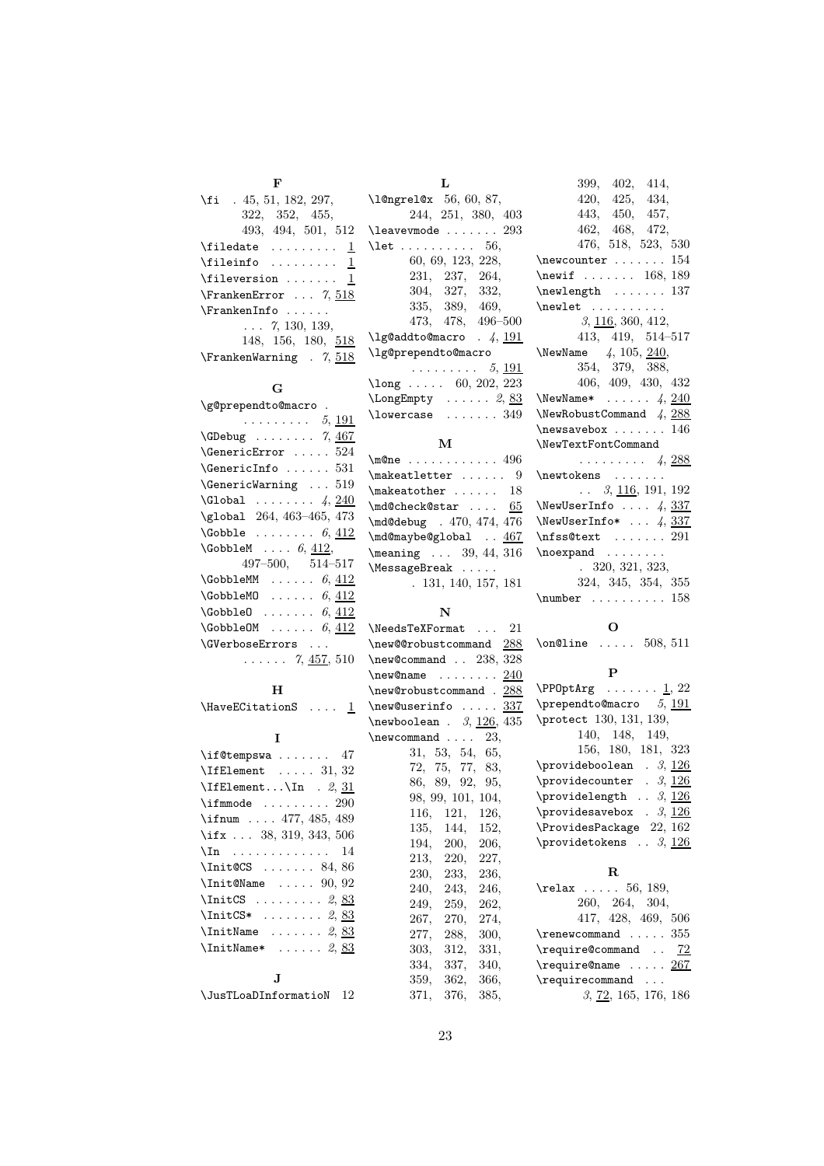| F                           |
|-----------------------------|
| $\{f_i$ . 45, 51, 182, 297, |
| 322, 352, 455,              |
| 493, 494, 501, 512          |
| $\theta \dots \dots \dots$  |
|                             |
|                             |
| $\Gamma$ 7, 518             |
|                             |
| $\ldots 7, 130, 139,$       |
| 148, 156, 180, 518          |
| $\Gamma$ . 7, 518           |

#### **G**

| \g@prependto@macro .                               |
|----------------------------------------------------|
| . 5, <u>191</u>                                    |
| $\text{GDebug} \dots \dots \dots 7, \frac{467}{1}$ |
| <b>\GenericError</b> $\dots$ . $524$               |
| $\{\text{GenericInfo}\dots \dots \ 531\}$          |
| $\Gamma$ 519                                       |
| $\Gamma \ldots \ldots \ 4, 240$                    |
| \global 264, 463-465, 473                          |
| $\text{Cobble } \ldots \ldots 6, 412$              |
| $\setminus$ GobbleM $6, 412,$                      |
| $497 - 500, 514 - 517$                             |
| <b>\GobbleMM</b><br>$\ldots \ldots 6,412$          |
| $\setminus$ GobbleMO  6, 412                       |
| <b>\GobbleO</b><br>$\ldots \ldots 6,412$           |
| $\setminus$ GobbleOM  6, 412                       |
| <b>\GVerboseErrors</b>                             |
| 7, $457, 510$                                      |

#### **H**

| \HaveECitationS |  |  |  |  |  |
|-----------------|--|--|--|--|--|
|-----------------|--|--|--|--|--|

#### **I**

| $\iota$ if@tempswa  47                                                |
|-----------------------------------------------------------------------|
| $\left\{\text{IfElement } \ldots 31, 32\right\}$                      |
| $\left\{ \mathbb{E} \right\}$ . $\left\{ \mathbb{R} \right\}$ . 2, 31 |
| $\mathcal{S}$ 290                                                     |
| \ifnum $477, 485, 489$                                                |
| \ifx  38, 319, 343, 506                                               |
| $\ln$ 14                                                              |
| \Init@CS  84,86                                                       |
| $\{Init@Name \dots 90, 92\}$                                          |
| $\IntCS$ 2, 83                                                        |
| $\IntCS*$ 2, 83                                                       |
| $\{InitName \dots 2, 83\}$                                            |
| $\{InitName* \dots 2, 83\}$                                           |
|                                                                       |
|                                                                       |

| $\verb \JusTLoaDInformation 12 $ |  |
|----------------------------------|--|
|                                  |  |

| Τ.                                   |
|--------------------------------------|
| \l@ngrel@x 56, 60, 87,               |
| 244, 251, 380, 403                   |
| $\lambda$ 293                        |
| $\lambda$ let $56,$                  |
| 60, 69, 123, 228,                    |
| 231, 237, 264,                       |
| 304, 327, 332,                       |
| 335, 389, 469,                       |
| 473, 478, 496-500                    |
| $\qquad$ lg@addto@macro . 4, 191     |
| \lg@prependto@macro                  |
| . 5, 191                             |
| $\lambda$ 202, 223                   |
| $\text{LongEmpty} \dots \dots 2, 83$ |
| $\lambda$ 10wercase  349             |
|                                      |
| М                                    |
|                                      |

| $\text{One}$ 496              |
|-------------------------------|
| $\mathcal{L}$ makeatletter  9 |
| $\mathcal{S}$                 |
| \md@check@star  65            |
| \md@debug . 470, 474, 476     |
| \md@maybe@global  467         |
| $\frac{9}{44}$ , 39, 44, 316  |
| \MessageBreak                 |
| . 131, 140, 157, 181          |

#### **N**

| $\text{NeedsTeXFormat} \dots 21$                 |                   |  |
|--------------------------------------------------|-------------------|--|
| \new@@robustcommand 288                          |                   |  |
| \new@command . 238, 328                          |                   |  |
| $\texttt{\textcirc} \dots \dots \underline{240}$ |                   |  |
| \new@robustcommand . 288                         |                   |  |
| \new@userinfo  337                               |                   |  |
| $\neq$ $\{3, 126, 435\}$                         |                   |  |
| $\neq$ 23,                                       |                   |  |
|                                                  | 31, 53, 54, 65,   |  |
|                                                  | 72, 75, 77, 83,   |  |
|                                                  | 86, 89, 92, 95,   |  |
|                                                  | 98, 99, 101, 104, |  |
|                                                  | 116, 121, 126,    |  |
|                                                  | 135, 144, 152,    |  |
|                                                  | 194, 200, 206,    |  |
|                                                  | 213, 220, 227,    |  |
|                                                  | 230, 233, 236,    |  |
|                                                  | 240, 243, 246,    |  |
|                                                  | 249, 259, 262,    |  |
|                                                  | 267, 270, 274,    |  |
|                                                  | 277, 288, 300,    |  |
|                                                  | 303, 312, 331,    |  |
|                                                  | 334, 337, 340,    |  |
|                                                  | 359, 362, 366,    |  |
|                                                  | 371, 376, 385,    |  |
|                                                  |                   |  |

| 399, 402, 414,                                  |
|-------------------------------------------------|
| 420, 425, 434,                                  |
| 443, 450, 457,                                  |
| 462, 468, 472,                                  |
| 476, 518, 523, 530                              |
| $\text{newcounter} \dots \dots \ 154$           |
| \newif $\ldots$ . 168, 189                      |
| $\neq$ 137                                      |
| $\neq$                                          |
| 3, 116, 360, 412,                               |
| 413, 419, 514-517                               |
| \NewName $4, 105, 240,$                         |
| 354, 379, 388,                                  |
| 406, 409, 430, 432                              |
| \NewName* $\ldots$ 4, 240                       |
| \NewRobustCommand $4, 288$                      |
| $\neq$ xavebox  146                             |
| \NewTextFontCommand                             |
| $\ldots \ldots \ldots$ 4, 288                   |
| \newtokens                                      |
| $\ldots$ 3, <u>116</u> , 191, 192               |
| \NewUserInfo $4, 337$                           |
| \NewUserInfo* $\ldots$ 4, 337                   |
| $\n\frac{\text{st}}{\text{st}} \dots \dots 291$ |
| $\neq$ \noexpand                                |
| .320, 321, 323,                                 |
| 324, 345, 354, 355                              |
| $\text{number} \ldots \ldots 158$               |
|                                                 |
|                                                 |

**O**  $8 \quad \text{nonOline} \quad . \quad . \quad . \quad 508, 511$ **P**  $\PP0ptArg$  ...... 1, 22 \prependto@macro *5*, 191 5 \protect 130, 131, 139, 140, 148, 149, 156, 180, 181, 323  $\propto$  *3*, 126 \providecounter . 3, 126 \providelength  $\cdot$  . 3, <u>126</u>  $\gamma$  . 3, 126

#### **R**

 $\sqrt{ProuidesPackage}$  22, 162  $\gamma$ .  $\beta$ ,  $\frac{126}{126}$ 

| $\text{relax} \dots 56, 189,$      |  |
|------------------------------------|--|
| 260, 264, 304,                     |  |
| 417, 428, 469, 506                 |  |
| $\$ {renewcommand355}              |  |
| \require@command  72               |  |
| $\text{Frequency} \dots \dots 267$ |  |
| $\text{recommand} \dots$           |  |
| 3, 72, 165, 176, 186               |  |